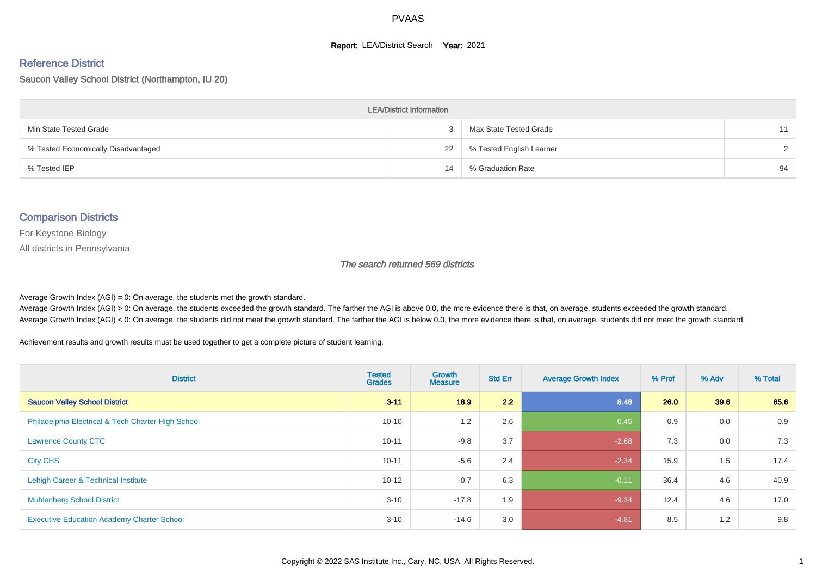#### **Report: LEA/District Search Year: 2021**

#### Reference District

Saucon Valley School District (Northampton, IU 20)

| <b>LEA/District Information</b>     |    |                          |               |  |  |  |  |  |  |
|-------------------------------------|----|--------------------------|---------------|--|--|--|--|--|--|
| Min State Tested Grade              |    | Max State Tested Grade   | 11            |  |  |  |  |  |  |
| % Tested Economically Disadvantaged | 22 | % Tested English Learner | $\mathcal{D}$ |  |  |  |  |  |  |
| % Tested IEP                        | 14 | % Graduation Rate        | 94            |  |  |  |  |  |  |

#### Comparison Districts

For Keystone Biology

All districts in Pennsylvania

The search returned 569 districts

Average Growth Index  $(AGI) = 0$ : On average, the students met the growth standard.

Average Growth Index (AGI) > 0: On average, the students exceeded the growth standard. The farther the AGI is above 0.0, the more evidence there is that, on average, students exceeded the growth standard. Average Growth Index (AGI) < 0: On average, the students did not meet the growth standard. The farther the AGI is below 0.0, the more evidence there is that, on average, students did not meet the growth standard.

Achievement results and growth results must be used together to get a complete picture of student learning.

| <b>District</b>                                    | <b>Tested</b><br><b>Grades</b> | Growth<br><b>Measure</b> | <b>Std Err</b> | <b>Average Growth Index</b> | % Prof | % Adv | % Total |
|----------------------------------------------------|--------------------------------|--------------------------|----------------|-----------------------------|--------|-------|---------|
| <b>Saucon Valley School District</b>               | $3 - 11$                       | 18.9                     | 2.2            | 8.48                        | 26.0   | 39.6  | 65.6    |
| Philadelphia Electrical & Tech Charter High School | $10 - 10$                      | 1.2                      | 2.6            | 0.45                        | 0.9    | 0.0   | 0.9     |
| <b>Lawrence County CTC</b>                         | $10 - 11$                      | $-9.8$                   | 3.7            | $-2.68$                     | 7.3    | 0.0   | 7.3     |
| <b>City CHS</b>                                    | $10 - 11$                      | $-5.6$                   | 2.4            | $-2.34$                     | 15.9   | 1.5   | 17.4    |
| Lehigh Career & Technical Institute                | $10 - 12$                      | $-0.7$                   | 6.3            | $-0.11$                     | 36.4   | 4.6   | 40.9    |
| <b>Muhlenberg School District</b>                  | $3 - 10$                       | $-17.8$                  | 1.9            | $-9.34$                     | 12.4   | 4.6   | 17.0    |
| <b>Executive Education Academy Charter School</b>  | $3 - 10$                       | $-14.6$                  | 3.0            | $-4.81$                     | 8.5    | 1.2   | 9.8     |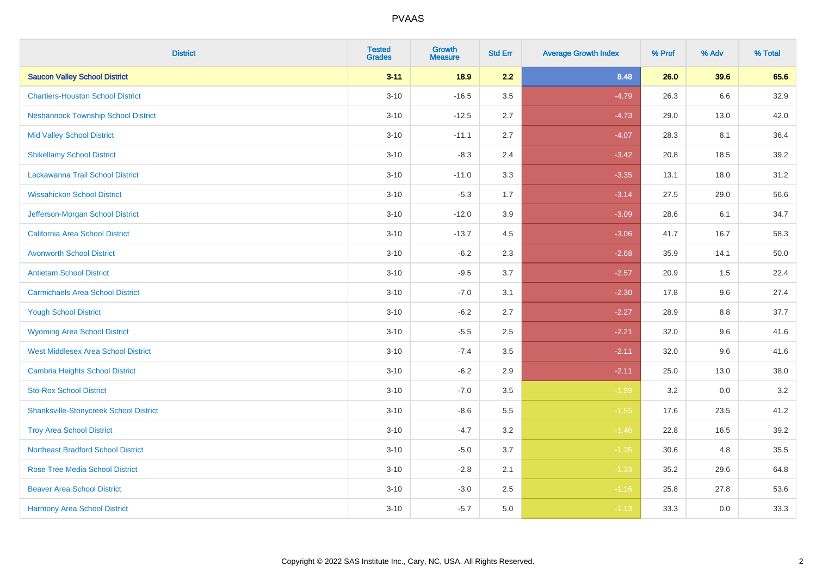| <b>District</b>                               | <b>Tested</b><br><b>Grades</b> | <b>Growth</b><br><b>Measure</b> | <b>Std Err</b> | <b>Average Growth Index</b> | % Prof | % Adv   | % Total |
|-----------------------------------------------|--------------------------------|---------------------------------|----------------|-----------------------------|--------|---------|---------|
| <b>Saucon Valley School District</b>          | $3 - 11$                       | 18.9                            | 2.2            | 8.48                        | 26.0   | 39.6    | 65.6    |
| <b>Chartiers-Houston School District</b>      | $3 - 10$                       | $-16.5$                         | 3.5            | $-4.79$                     | 26.3   | $6.6\,$ | 32.9    |
| <b>Neshannock Township School District</b>    | $3 - 10$                       | $-12.5$                         | 2.7            | $-4.73$                     | 29.0   | 13.0    | 42.0    |
| <b>Mid Valley School District</b>             | $3 - 10$                       | $-11.1$                         | 2.7            | $-4.07$                     | 28.3   | 8.1     | 36.4    |
| <b>Shikellamy School District</b>             | $3 - 10$                       | $-8.3$                          | 2.4            | $-3.42$                     | 20.8   | 18.5    | 39.2    |
| Lackawanna Trail School District              | $3 - 10$                       | $-11.0$                         | 3.3            | $-3.35$                     | 13.1   | 18.0    | 31.2    |
| <b>Wissahickon School District</b>            | $3 - 10$                       | $-5.3$                          | 1.7            | $-3.14$                     | 27.5   | 29.0    | 56.6    |
| Jefferson-Morgan School District              | $3 - 10$                       | $-12.0$                         | 3.9            | $-3.09$                     | 28.6   | 6.1     | 34.7    |
| California Area School District               | $3 - 10$                       | $-13.7$                         | 4.5            | $-3.06$                     | 41.7   | 16.7    | 58.3    |
| <b>Avonworth School District</b>              | $3 - 10$                       | $-6.2$                          | 2.3            | $-2.68$                     | 35.9   | 14.1    | 50.0    |
| <b>Antietam School District</b>               | $3 - 10$                       | $-9.5$                          | 3.7            | $-2.57$                     | 20.9   | 1.5     | 22.4    |
| <b>Carmichaels Area School District</b>       | $3 - 10$                       | $-7.0$                          | 3.1            | $-2.30$                     | 17.8   | 9.6     | 27.4    |
| <b>Yough School District</b>                  | $3 - 10$                       | $-6.2$                          | 2.7            | $-2.27$                     | 28.9   | $8.8\,$ | 37.7    |
| <b>Wyoming Area School District</b>           | $3 - 10$                       | $-5.5$                          | 2.5            | $-2.21$                     | 32.0   | 9.6     | 41.6    |
| <b>West Middlesex Area School District</b>    | $3 - 10$                       | $-7.4$                          | 3.5            | $-2.11$                     | 32.0   | 9.6     | 41.6    |
| <b>Cambria Heights School District</b>        | $3 - 10$                       | $-6.2$                          | 2.9            | $-2.11$                     | 25.0   | 13.0    | 38.0    |
| <b>Sto-Rox School District</b>                | $3 - 10$                       | $-7.0$                          | 3.5            | $-1.99$                     | 3.2    | 0.0     | 3.2     |
| <b>Shanksville-Stonycreek School District</b> | $3 - 10$                       | $-8.6$                          | 5.5            | $-1.55$                     | 17.6   | 23.5    | 41.2    |
| <b>Troy Area School District</b>              | $3 - 10$                       | $-4.7$                          | 3.2            | $-1.46$                     | 22.8   | 16.5    | 39.2    |
| <b>Northeast Bradford School District</b>     | $3 - 10$                       | $-5.0$                          | 3.7            | $-1.35$                     | 30.6   | 4.8     | 35.5    |
| <b>Rose Tree Media School District</b>        | $3 - 10$                       | $-2.8$                          | 2.1            | $-1.33$                     | 35.2   | 29.6    | 64.8    |
| <b>Beaver Area School District</b>            | $3 - 10$                       | $-3.0$                          | 2.5            | $-1.16$                     | 25.8   | 27.8    | 53.6    |
| <b>Harmony Area School District</b>           | $3 - 10$                       | $-5.7$                          | 5.0            | $-1.13$                     | 33.3   | 0.0     | 33.3    |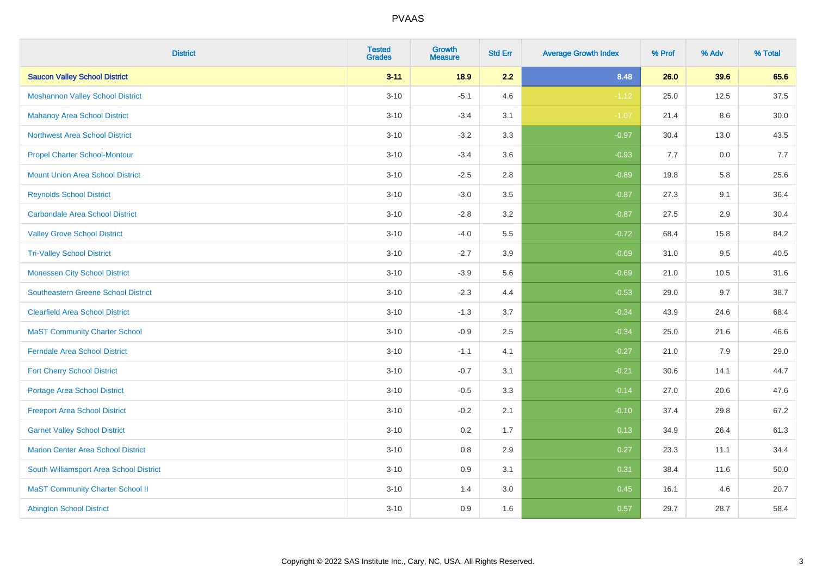| <b>District</b>                            | <b>Tested</b><br><b>Grades</b> | <b>Growth</b><br><b>Measure</b> | <b>Std Err</b> | <b>Average Growth Index</b> | % Prof | % Adv | % Total |
|--------------------------------------------|--------------------------------|---------------------------------|----------------|-----------------------------|--------|-------|---------|
| <b>Saucon Valley School District</b>       | $3 - 11$                       | 18.9                            | 2.2            | 8.48                        | 26.0   | 39.6  | 65.6    |
| <b>Moshannon Valley School District</b>    | $3 - 10$                       | $-5.1$                          | 4.6            | $-1.12$                     | 25.0   | 12.5  | 37.5    |
| <b>Mahanoy Area School District</b>        | $3 - 10$                       | $-3.4$                          | 3.1            | $-1.07$                     | 21.4   | 8.6   | 30.0    |
| <b>Northwest Area School District</b>      | $3 - 10$                       | $-3.2$                          | 3.3            | $-0.97$                     | 30.4   | 13.0  | 43.5    |
| <b>Propel Charter School-Montour</b>       | $3 - 10$                       | $-3.4$                          | 3.6            | $-0.93$                     | 7.7    | 0.0   | 7.7     |
| <b>Mount Union Area School District</b>    | $3 - 10$                       | $-2.5$                          | 2.8            | $-0.89$                     | 19.8   | 5.8   | 25.6    |
| <b>Reynolds School District</b>            | $3 - 10$                       | $-3.0$                          | 3.5            | $-0.87$                     | 27.3   | 9.1   | 36.4    |
| <b>Carbondale Area School District</b>     | $3 - 10$                       | $-2.8$                          | 3.2            | $-0.87$                     | 27.5   | 2.9   | 30.4    |
| <b>Valley Grove School District</b>        | $3 - 10$                       | $-4.0$                          | 5.5            | $-0.72$                     | 68.4   | 15.8  | 84.2    |
| <b>Tri-Valley School District</b>          | $3 - 10$                       | $-2.7$                          | 3.9            | $-0.69$                     | 31.0   | 9.5   | 40.5    |
| <b>Monessen City School District</b>       | $3 - 10$                       | $-3.9$                          | 5.6            | $-0.69$                     | 21.0   | 10.5  | 31.6    |
| <b>Southeastern Greene School District</b> | $3 - 10$                       | $-2.3$                          | 4.4            | $-0.53$                     | 29.0   | 9.7   | 38.7    |
| <b>Clearfield Area School District</b>     | $3 - 10$                       | $-1.3$                          | 3.7            | $-0.34$                     | 43.9   | 24.6  | 68.4    |
| <b>MaST Community Charter School</b>       | $3 - 10$                       | $-0.9$                          | 2.5            | $-0.34$                     | 25.0   | 21.6  | 46.6    |
| <b>Ferndale Area School District</b>       | $3 - 10$                       | $-1.1$                          | 4.1            | $-0.27$                     | 21.0   | 7.9   | 29.0    |
| <b>Fort Cherry School District</b>         | $3 - 10$                       | $-0.7$                          | 3.1            | $-0.21$                     | 30.6   | 14.1  | 44.7    |
| <b>Portage Area School District</b>        | $3 - 10$                       | $-0.5$                          | 3.3            | $-0.14$                     | 27.0   | 20.6  | 47.6    |
| <b>Freeport Area School District</b>       | $3 - 10$                       | $-0.2$                          | 2.1            | $-0.10$                     | 37.4   | 29.8  | 67.2    |
| <b>Garnet Valley School District</b>       | $3 - 10$                       | 0.2                             | 1.7            | 0.13                        | 34.9   | 26.4  | 61.3    |
| <b>Marion Center Area School District</b>  | $3 - 10$                       | $0.8\,$                         | 2.9            | 0.27                        | 23.3   | 11.1  | 34.4    |
| South Williamsport Area School District    | $3 - 10$                       | 0.9                             | 3.1            | 0.31                        | 38.4   | 11.6  | 50.0    |
| <b>MaST Community Charter School II</b>    | $3 - 10$                       | 1.4                             | 3.0            | 0.45                        | 16.1   | 4.6   | 20.7    |
| <b>Abington School District</b>            | $3 - 10$                       | 0.9                             | 1.6            | 0.57                        | 29.7   | 28.7  | 58.4    |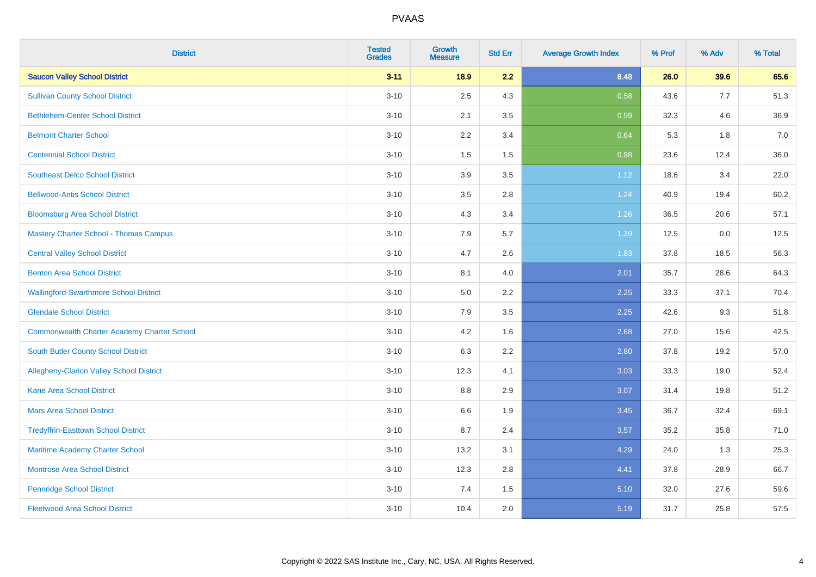| <b>District</b>                                    | <b>Tested</b><br><b>Grades</b> | <b>Growth</b><br><b>Measure</b> | <b>Std Err</b> | <b>Average Growth Index</b> | % Prof | % Adv | % Total |
|----------------------------------------------------|--------------------------------|---------------------------------|----------------|-----------------------------|--------|-------|---------|
| <b>Saucon Valley School District</b>               | $3 - 11$                       | 18.9                            | 2.2            | 8.48                        | 26.0   | 39.6  | 65.6    |
| <b>Sullivan County School District</b>             | $3 - 10$                       | 2.5                             | 4.3            | 0.58                        | 43.6   | 7.7   | 51.3    |
| <b>Bethlehem-Center School District</b>            | $3 - 10$                       | 2.1                             | 3.5            | 0.59                        | 32.3   | 4.6   | 36.9    |
| <b>Belmont Charter School</b>                      | $3 - 10$                       | 2.2                             | 3.4            | 0.64                        | 5.3    | 1.8   | 7.0     |
| <b>Centennial School District</b>                  | $3 - 10$                       | 1.5                             | 1.5            | 0.98                        | 23.6   | 12.4  | 36.0    |
| <b>Southeast Delco School District</b>             | $3 - 10$                       | 3.9                             | 3.5            | 1.12                        | 18.6   | 3.4   | 22.0    |
| <b>Bellwood-Antis School District</b>              | $3 - 10$                       | 3.5                             | 2.8            | 1.24                        | 40.9   | 19.4  | 60.2    |
| <b>Bloomsburg Area School District</b>             | $3 - 10$                       | 4.3                             | 3.4            | 1.26                        | 36.5   | 20.6  | 57.1    |
| <b>Mastery Charter School - Thomas Campus</b>      | $3 - 10$                       | 7.9                             | 5.7            | 1.39                        | 12.5   | 0.0   | 12.5    |
| <b>Central Valley School District</b>              | $3 - 10$                       | 4.7                             | 2.6            | 1.83                        | 37.8   | 18.5  | 56.3    |
| <b>Benton Area School District</b>                 | $3 - 10$                       | 8.1                             | 4.0            | 2.01                        | 35.7   | 28.6  | 64.3    |
| <b>Wallingford-Swarthmore School District</b>      | $3 - 10$                       | 5.0                             | 2.2            | 2.25                        | 33.3   | 37.1  | 70.4    |
| <b>Glendale School District</b>                    | $3 - 10$                       | 7.9                             | 3.5            | 2.25                        | 42.6   | 9.3   | 51.8    |
| <b>Commonwealth Charter Academy Charter School</b> | $3 - 10$                       | 4.2                             | 1.6            | 2.68                        | 27.0   | 15.6  | 42.5    |
| South Butler County School District                | $3 - 10$                       | 6.3                             | 2.2            | 2.80                        | 37.8   | 19.2  | 57.0    |
| Allegheny-Clarion Valley School District           | $3 - 10$                       | 12.3                            | 4.1            | 3.03                        | 33.3   | 19.0  | 52.4    |
| <b>Kane Area School District</b>                   | $3 - 10$                       | 8.8                             | 2.9            | 3.07                        | 31.4   | 19.8  | 51.2    |
| <b>Mars Area School District</b>                   | $3 - 10$                       | 6.6                             | 1.9            | 3.45                        | 36.7   | 32.4  | 69.1    |
| <b>Tredyffrin-Easttown School District</b>         | $3 - 10$                       | 8.7                             | 2.4            | 3.57                        | 35.2   | 35.8  | 71.0    |
| Maritime Academy Charter School                    | $3 - 10$                       | 13.2                            | 3.1            | 4.29                        | 24.0   | 1.3   | 25.3    |
| Montrose Area School District                      | $3 - 10$                       | 12.3                            | 2.8            | 4.41                        | 37.8   | 28.9  | 66.7    |
| <b>Pennridge School District</b>                   | $3 - 10$                       | 7.4                             | 1.5            | 5.10                        | 32.0   | 27.6  | 59.6    |
| <b>Fleetwood Area School District</b>              | $3 - 10$                       | 10.4                            | 2.0            | 5.19                        | 31.7   | 25.8  | 57.5    |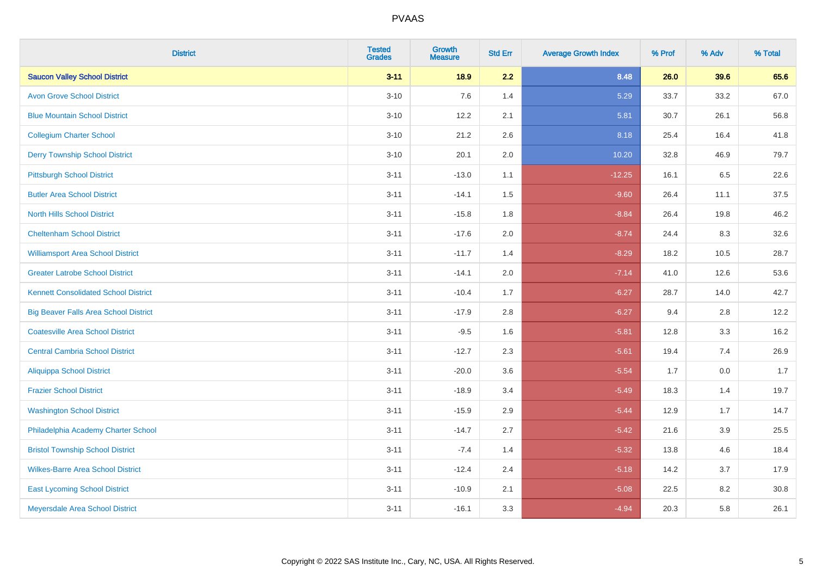| <b>District</b>                              | <b>Tested</b><br><b>Grades</b> | <b>Growth</b><br><b>Measure</b> | <b>Std Err</b> | <b>Average Growth Index</b> | % Prof | % Adv | % Total |
|----------------------------------------------|--------------------------------|---------------------------------|----------------|-----------------------------|--------|-------|---------|
| <b>Saucon Valley School District</b>         | $3 - 11$                       | 18.9                            | 2.2            | 8.48                        | 26.0   | 39.6  | 65.6    |
| <b>Avon Grove School District</b>            | $3 - 10$                       | 7.6                             | 1.4            | 5.29                        | 33.7   | 33.2  | 67.0    |
| <b>Blue Mountain School District</b>         | $3 - 10$                       | 12.2                            | 2.1            | 5.81                        | 30.7   | 26.1  | 56.8    |
| <b>Collegium Charter School</b>              | $3 - 10$                       | 21.2                            | 2.6            | 8.18                        | 25.4   | 16.4  | 41.8    |
| <b>Derry Township School District</b>        | $3 - 10$                       | 20.1                            | 2.0            | 10.20                       | 32.8   | 46.9  | 79.7    |
| <b>Pittsburgh School District</b>            | $3 - 11$                       | $-13.0$                         | 1.1            | $-12.25$                    | 16.1   | 6.5   | 22.6    |
| <b>Butler Area School District</b>           | $3 - 11$                       | $-14.1$                         | 1.5            | $-9.60$                     | 26.4   | 11.1  | 37.5    |
| <b>North Hills School District</b>           | $3 - 11$                       | $-15.8$                         | 1.8            | $-8.84$                     | 26.4   | 19.8  | 46.2    |
| <b>Cheltenham School District</b>            | $3 - 11$                       | $-17.6$                         | 2.0            | $-8.74$                     | 24.4   | 8.3   | 32.6    |
| <b>Williamsport Area School District</b>     | $3 - 11$                       | $-11.7$                         | 1.4            | $-8.29$                     | 18.2   | 10.5  | 28.7    |
| <b>Greater Latrobe School District</b>       | $3 - 11$                       | $-14.1$                         | 2.0            | $-7.14$                     | 41.0   | 12.6  | 53.6    |
| <b>Kennett Consolidated School District</b>  | $3 - 11$                       | $-10.4$                         | 1.7            | $-6.27$                     | 28.7   | 14.0  | 42.7    |
| <b>Big Beaver Falls Area School District</b> | $3 - 11$                       | $-17.9$                         | 2.8            | $-6.27$                     | 9.4    | 2.8   | 12.2    |
| <b>Coatesville Area School District</b>      | $3 - 11$                       | $-9.5$                          | 1.6            | $-5.81$                     | 12.8   | 3.3   | 16.2    |
| <b>Central Cambria School District</b>       | $3 - 11$                       | $-12.7$                         | 2.3            | $-5.61$                     | 19.4   | 7.4   | 26.9    |
| <b>Aliquippa School District</b>             | $3 - 11$                       | $-20.0$                         | 3.6            | $-5.54$                     | 1.7    | 0.0   | 1.7     |
| <b>Frazier School District</b>               | $3 - 11$                       | $-18.9$                         | 3.4            | $-5.49$                     | 18.3   | 1.4   | 19.7    |
| <b>Washington School District</b>            | $3 - 11$                       | $-15.9$                         | 2.9            | $-5.44$                     | 12.9   | 1.7   | 14.7    |
| Philadelphia Academy Charter School          | $3 - 11$                       | $-14.7$                         | 2.7            | $-5.42$                     | 21.6   | 3.9   | 25.5    |
| <b>Bristol Township School District</b>      | $3 - 11$                       | $-7.4$                          | 1.4            | $-5.32$                     | 13.8   | 4.6   | 18.4    |
| <b>Wilkes-Barre Area School District</b>     | $3 - 11$                       | $-12.4$                         | 2.4            | $-5.18$                     | 14.2   | 3.7   | 17.9    |
| <b>East Lycoming School District</b>         | $3 - 11$                       | $-10.9$                         | 2.1            | $-5.08$                     | 22.5   | 8.2   | 30.8    |
| Meyersdale Area School District              | $3 - 11$                       | $-16.1$                         | 3.3            | $-4.94$                     | 20.3   | 5.8   | 26.1    |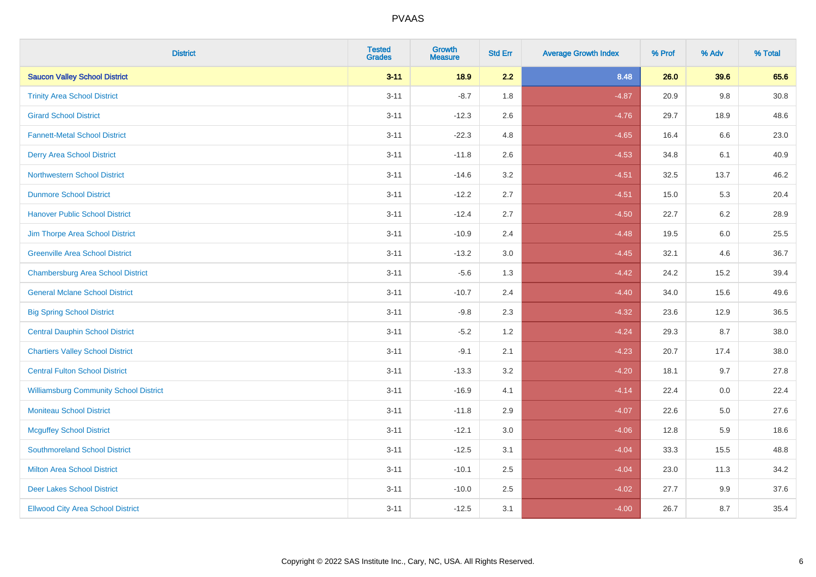| <b>District</b>                               | <b>Tested</b><br><b>Grades</b> | <b>Growth</b><br><b>Measure</b> | <b>Std Err</b> | <b>Average Growth Index</b> | % Prof | % Adv   | % Total |
|-----------------------------------------------|--------------------------------|---------------------------------|----------------|-----------------------------|--------|---------|---------|
| <b>Saucon Valley School District</b>          | $3 - 11$                       | 18.9                            | 2.2            | 8.48                        | 26.0   | 39.6    | 65.6    |
| <b>Trinity Area School District</b>           | $3 - 11$                       | $-8.7$                          | 1.8            | $-4.87$                     | 20.9   | 9.8     | 30.8    |
| <b>Girard School District</b>                 | $3 - 11$                       | $-12.3$                         | 2.6            | $-4.76$                     | 29.7   | 18.9    | 48.6    |
| <b>Fannett-Metal School District</b>          | $3 - 11$                       | $-22.3$                         | 4.8            | $-4.65$                     | 16.4   | $6.6\,$ | 23.0    |
| <b>Derry Area School District</b>             | $3 - 11$                       | $-11.8$                         | 2.6            | $-4.53$                     | 34.8   | 6.1     | 40.9    |
| <b>Northwestern School District</b>           | $3 - 11$                       | $-14.6$                         | 3.2            | $-4.51$                     | 32.5   | 13.7    | 46.2    |
| <b>Dunmore School District</b>                | $3 - 11$                       | $-12.2$                         | 2.7            | $-4.51$                     | 15.0   | 5.3     | 20.4    |
| <b>Hanover Public School District</b>         | $3 - 11$                       | $-12.4$                         | 2.7            | $-4.50$                     | 22.7   | 6.2     | 28.9    |
| Jim Thorpe Area School District               | $3 - 11$                       | $-10.9$                         | 2.4            | $-4.48$                     | 19.5   | 6.0     | 25.5    |
| <b>Greenville Area School District</b>        | $3 - 11$                       | $-13.2$                         | 3.0            | $-4.45$                     | 32.1   | 4.6     | 36.7    |
| <b>Chambersburg Area School District</b>      | $3 - 11$                       | $-5.6$                          | 1.3            | $-4.42$                     | 24.2   | 15.2    | 39.4    |
| <b>General Mclane School District</b>         | $3 - 11$                       | $-10.7$                         | 2.4            | $-4.40$                     | 34.0   | 15.6    | 49.6    |
| <b>Big Spring School District</b>             | $3 - 11$                       | $-9.8$                          | 2.3            | $-4.32$                     | 23.6   | 12.9    | 36.5    |
| <b>Central Dauphin School District</b>        | $3 - 11$                       | $-5.2$                          | 1.2            | $-4.24$                     | 29.3   | 8.7     | 38.0    |
| <b>Chartiers Valley School District</b>       | $3 - 11$                       | $-9.1$                          | 2.1            | $-4.23$                     | 20.7   | 17.4    | 38.0    |
| <b>Central Fulton School District</b>         | $3 - 11$                       | $-13.3$                         | 3.2            | $-4.20$                     | 18.1   | 9.7     | 27.8    |
| <b>Williamsburg Community School District</b> | $3 - 11$                       | $-16.9$                         | 4.1            | $-4.14$                     | 22.4   | 0.0     | 22.4    |
| <b>Moniteau School District</b>               | $3 - 11$                       | $-11.8$                         | 2.9            | $-4.07$                     | 22.6   | 5.0     | 27.6    |
| <b>Mcguffey School District</b>               | $3 - 11$                       | $-12.1$                         | 3.0            | $-4.06$                     | 12.8   | 5.9     | 18.6    |
| <b>Southmoreland School District</b>          | $3 - 11$                       | $-12.5$                         | 3.1            | $-4.04$                     | 33.3   | 15.5    | 48.8    |
| <b>Milton Area School District</b>            | $3 - 11$                       | $-10.1$                         | 2.5            | $-4.04$                     | 23.0   | 11.3    | 34.2    |
| <b>Deer Lakes School District</b>             | $3 - 11$                       | $-10.0$                         | 2.5            | $-4.02$                     | 27.7   | 9.9     | 37.6    |
| <b>Ellwood City Area School District</b>      | $3 - 11$                       | $-12.5$                         | 3.1            | $-4.00$                     | 26.7   | 8.7     | 35.4    |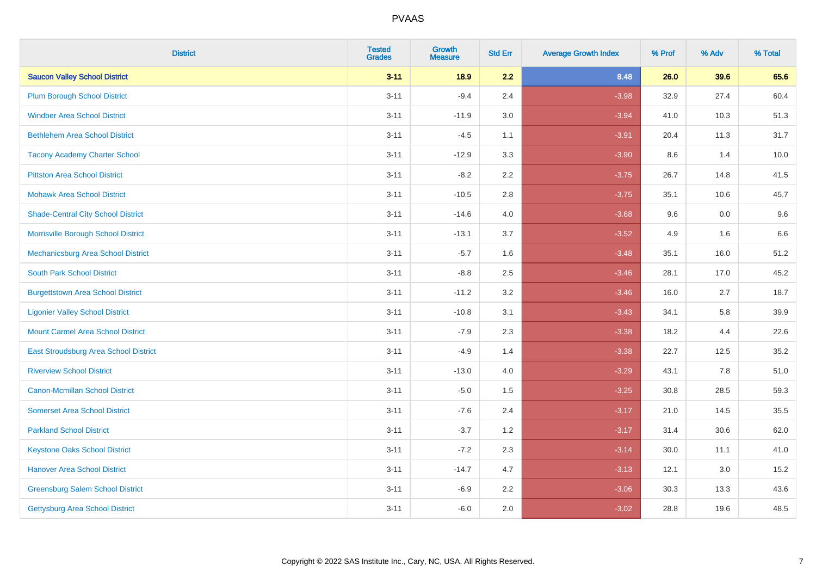| <b>District</b>                           | <b>Tested</b><br><b>Grades</b> | <b>Growth</b><br><b>Measure</b> | <b>Std Err</b> | <b>Average Growth Index</b> | % Prof | % Adv | % Total |
|-------------------------------------------|--------------------------------|---------------------------------|----------------|-----------------------------|--------|-------|---------|
| <b>Saucon Valley School District</b>      | $3 - 11$                       | 18.9                            | 2.2            | 8.48                        | 26.0   | 39.6  | 65.6    |
| <b>Plum Borough School District</b>       | $3 - 11$                       | $-9.4$                          | 2.4            | $-3.98$                     | 32.9   | 27.4  | 60.4    |
| <b>Windber Area School District</b>       | $3 - 11$                       | $-11.9$                         | 3.0            | $-3.94$                     | 41.0   | 10.3  | 51.3    |
| <b>Bethlehem Area School District</b>     | $3 - 11$                       | $-4.5$                          | 1.1            | $-3.91$                     | 20.4   | 11.3  | 31.7    |
| <b>Tacony Academy Charter School</b>      | $3 - 11$                       | $-12.9$                         | 3.3            | $-3.90$                     | 8.6    | 1.4   | 10.0    |
| <b>Pittston Area School District</b>      | $3 - 11$                       | $-8.2$                          | 2.2            | $-3.75$                     | 26.7   | 14.8  | 41.5    |
| <b>Mohawk Area School District</b>        | $3 - 11$                       | $-10.5$                         | 2.8            | $-3.75$                     | 35.1   | 10.6  | 45.7    |
| <b>Shade-Central City School District</b> | $3 - 11$                       | $-14.6$                         | 4.0            | $-3.68$                     | 9.6    | 0.0   | 9.6     |
| Morrisville Borough School District       | $3 - 11$                       | $-13.1$                         | 3.7            | $-3.52$                     | 4.9    | 1.6   | 6.6     |
| Mechanicsburg Area School District        | $3 - 11$                       | $-5.7$                          | 1.6            | $-3.48$                     | 35.1   | 16.0  | 51.2    |
| <b>South Park School District</b>         | $3 - 11$                       | $-8.8$                          | 2.5            | $-3.46$                     | 28.1   | 17.0  | 45.2    |
| <b>Burgettstown Area School District</b>  | $3 - 11$                       | $-11.2$                         | 3.2            | $-3.46$                     | 16.0   | 2.7   | 18.7    |
| <b>Ligonier Valley School District</b>    | $3 - 11$                       | $-10.8$                         | 3.1            | $-3.43$                     | 34.1   | 5.8   | 39.9    |
| <b>Mount Carmel Area School District</b>  | $3 - 11$                       | $-7.9$                          | 2.3            | $-3.38$                     | 18.2   | 4.4   | 22.6    |
| East Stroudsburg Area School District     | $3 - 11$                       | $-4.9$                          | 1.4            | $-3.38$                     | 22.7   | 12.5  | 35.2    |
| <b>Riverview School District</b>          | $3 - 11$                       | $-13.0$                         | 4.0            | $-3.29$                     | 43.1   | 7.8   | 51.0    |
| <b>Canon-Mcmillan School District</b>     | $3 - 11$                       | $-5.0$                          | 1.5            | $-3.25$                     | 30.8   | 28.5  | 59.3    |
| <b>Somerset Area School District</b>      | $3 - 11$                       | $-7.6$                          | 2.4            | $-3.17$                     | 21.0   | 14.5  | 35.5    |
| <b>Parkland School District</b>           | $3 - 11$                       | $-3.7$                          | 1.2            | $-3.17$                     | 31.4   | 30.6  | 62.0    |
| <b>Keystone Oaks School District</b>      | $3 - 11$                       | $-7.2$                          | 2.3            | $-3.14$                     | 30.0   | 11.1  | 41.0    |
| <b>Hanover Area School District</b>       | $3 - 11$                       | $-14.7$                         | 4.7            | $-3.13$                     | 12.1   | 3.0   | 15.2    |
| <b>Greensburg Salem School District</b>   | $3 - 11$                       | $-6.9$                          | 2.2            | $-3.06$                     | 30.3   | 13.3  | 43.6    |
| Gettysburg Area School District           | $3 - 11$                       | $-6.0$                          | 2.0            | $-3.02$                     | 28.8   | 19.6  | 48.5    |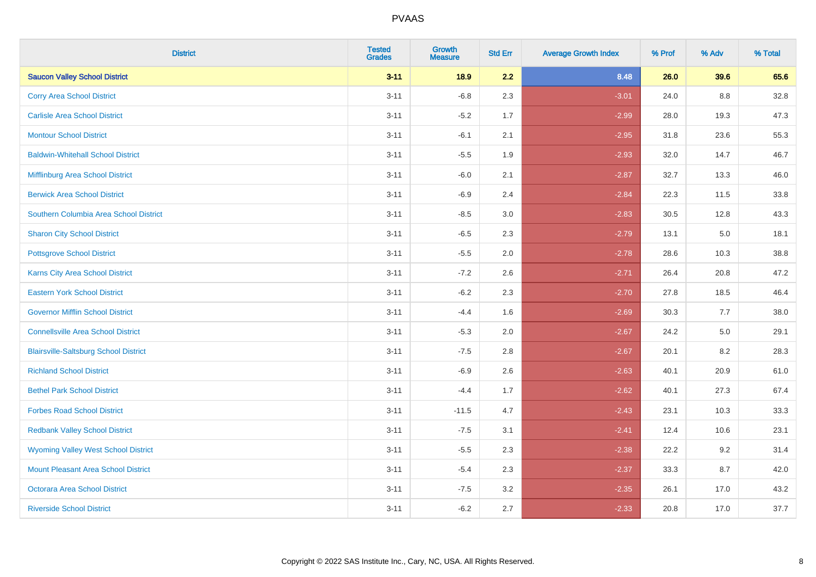| <b>District</b>                              | <b>Tested</b><br><b>Grades</b> | <b>Growth</b><br><b>Measure</b> | <b>Std Err</b> | <b>Average Growth Index</b> | % Prof | % Adv | % Total |
|----------------------------------------------|--------------------------------|---------------------------------|----------------|-----------------------------|--------|-------|---------|
| <b>Saucon Valley School District</b>         | $3 - 11$                       | 18.9                            | 2.2            | 8.48                        | 26.0   | 39.6  | 65.6    |
| <b>Corry Area School District</b>            | $3 - 11$                       | $-6.8$                          | 2.3            | $-3.01$                     | 24.0   | 8.8   | 32.8    |
| <b>Carlisle Area School District</b>         | $3 - 11$                       | $-5.2$                          | 1.7            | $-2.99$                     | 28.0   | 19.3  | 47.3    |
| <b>Montour School District</b>               | $3 - 11$                       | $-6.1$                          | 2.1            | $-2.95$                     | 31.8   | 23.6  | 55.3    |
| <b>Baldwin-Whitehall School District</b>     | $3 - 11$                       | $-5.5$                          | 1.9            | $-2.93$                     | 32.0   | 14.7  | 46.7    |
| Mifflinburg Area School District             | $3 - 11$                       | $-6.0$                          | 2.1            | $-2.87$                     | 32.7   | 13.3  | 46.0    |
| <b>Berwick Area School District</b>          | $3 - 11$                       | $-6.9$                          | 2.4            | $-2.84$                     | 22.3   | 11.5  | 33.8    |
| Southern Columbia Area School District       | $3 - 11$                       | $-8.5$                          | 3.0            | $-2.83$                     | 30.5   | 12.8  | 43.3    |
| <b>Sharon City School District</b>           | $3 - 11$                       | $-6.5$                          | 2.3            | $-2.79$                     | 13.1   | 5.0   | 18.1    |
| <b>Pottsgrove School District</b>            | $3 - 11$                       | $-5.5$                          | 2.0            | $-2.78$                     | 28.6   | 10.3  | 38.8    |
| <b>Karns City Area School District</b>       | $3 - 11$                       | $-7.2$                          | 2.6            | $-2.71$                     | 26.4   | 20.8  | 47.2    |
| <b>Eastern York School District</b>          | $3 - 11$                       | $-6.2$                          | 2.3            | $-2.70$                     | 27.8   | 18.5  | 46.4    |
| <b>Governor Mifflin School District</b>      | $3 - 11$                       | $-4.4$                          | 1.6            | $-2.69$                     | 30.3   | 7.7   | 38.0    |
| <b>Connellsville Area School District</b>    | $3 - 11$                       | $-5.3$                          | 2.0            | $-2.67$                     | 24.2   | 5.0   | 29.1    |
| <b>Blairsville-Saltsburg School District</b> | $3 - 11$                       | $-7.5$                          | 2.8            | $-2.67$                     | 20.1   | 8.2   | 28.3    |
| <b>Richland School District</b>              | $3 - 11$                       | $-6.9$                          | 2.6            | $-2.63$                     | 40.1   | 20.9  | 61.0    |
| <b>Bethel Park School District</b>           | $3 - 11$                       | $-4.4$                          | 1.7            | $-2.62$                     | 40.1   | 27.3  | 67.4    |
| <b>Forbes Road School District</b>           | $3 - 11$                       | $-11.5$                         | 4.7            | $-2.43$                     | 23.1   | 10.3  | 33.3    |
| <b>Redbank Valley School District</b>        | $3 - 11$                       | $-7.5$                          | 3.1            | $-2.41$                     | 12.4   | 10.6  | 23.1    |
| <b>Wyoming Valley West School District</b>   | $3 - 11$                       | $-5.5$                          | 2.3            | $-2.38$                     | 22.2   | 9.2   | 31.4    |
| <b>Mount Pleasant Area School District</b>   | $3 - 11$                       | $-5.4$                          | 2.3            | $-2.37$                     | 33.3   | 8.7   | 42.0    |
| <b>Octorara Area School District</b>         | $3 - 11$                       | $-7.5$                          | 3.2            | $-2.35$                     | 26.1   | 17.0  | 43.2    |
| <b>Riverside School District</b>             | $3 - 11$                       | $-6.2$                          | 2.7            | $-2.33$                     | 20.8   | 17.0  | 37.7    |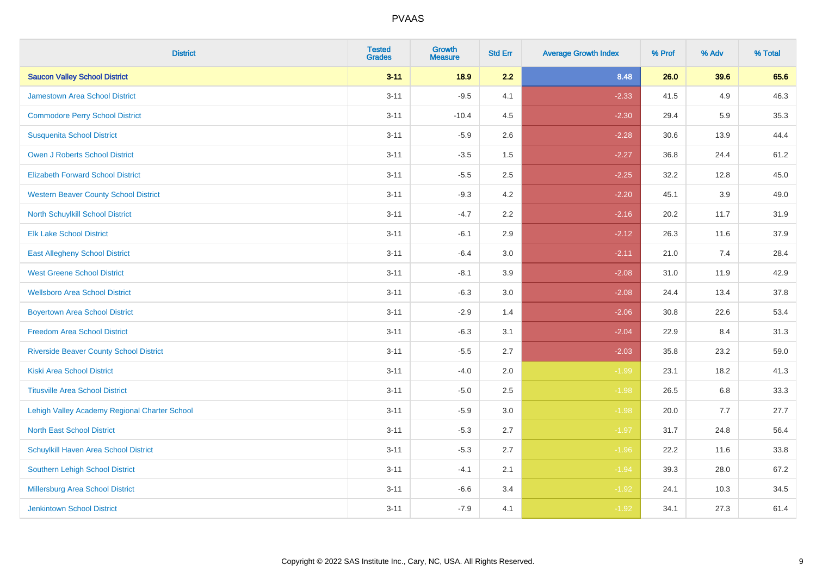| <b>District</b>                                | <b>Tested</b><br><b>Grades</b> | <b>Growth</b><br><b>Measure</b> | <b>Std Err</b> | <b>Average Growth Index</b> | % Prof | % Adv | % Total |
|------------------------------------------------|--------------------------------|---------------------------------|----------------|-----------------------------|--------|-------|---------|
| <b>Saucon Valley School District</b>           | $3 - 11$                       | 18.9                            | 2.2            | 8.48                        | 26.0   | 39.6  | 65.6    |
| <b>Jamestown Area School District</b>          | $3 - 11$                       | $-9.5$                          | 4.1            | $-2.33$                     | 41.5   | 4.9   | 46.3    |
| <b>Commodore Perry School District</b>         | $3 - 11$                       | $-10.4$                         | 4.5            | $-2.30$                     | 29.4   | 5.9   | 35.3    |
| <b>Susquenita School District</b>              | $3 - 11$                       | $-5.9$                          | 2.6            | $-2.28$                     | 30.6   | 13.9  | 44.4    |
| Owen J Roberts School District                 | $3 - 11$                       | $-3.5$                          | 1.5            | $-2.27$                     | 36.8   | 24.4  | 61.2    |
| <b>Elizabeth Forward School District</b>       | $3 - 11$                       | $-5.5$                          | 2.5            | $-2.25$                     | 32.2   | 12.8  | 45.0    |
| <b>Western Beaver County School District</b>   | $3 - 11$                       | $-9.3$                          | 4.2            | $-2.20$                     | 45.1   | 3.9   | 49.0    |
| North Schuylkill School District               | $3 - 11$                       | $-4.7$                          | 2.2            | $-2.16$                     | 20.2   | 11.7  | 31.9    |
| <b>Elk Lake School District</b>                | $3 - 11$                       | $-6.1$                          | 2.9            | $-2.12$                     | 26.3   | 11.6  | 37.9    |
| <b>East Allegheny School District</b>          | $3 - 11$                       | $-6.4$                          | 3.0            | $-2.11$                     | 21.0   | 7.4   | 28.4    |
| <b>West Greene School District</b>             | $3 - 11$                       | $-8.1$                          | 3.9            | $-2.08$                     | 31.0   | 11.9  | 42.9    |
| <b>Wellsboro Area School District</b>          | $3 - 11$                       | $-6.3$                          | 3.0            | $-2.08$                     | 24.4   | 13.4  | 37.8    |
| <b>Boyertown Area School District</b>          | $3 - 11$                       | $-2.9$                          | 1.4            | $-2.06$                     | 30.8   | 22.6  | 53.4    |
| <b>Freedom Area School District</b>            | $3 - 11$                       | $-6.3$                          | 3.1            | $-2.04$                     | 22.9   | 8.4   | 31.3    |
| <b>Riverside Beaver County School District</b> | $3 - 11$                       | $-5.5$                          | 2.7            | $-2.03$                     | 35.8   | 23.2  | 59.0    |
| <b>Kiski Area School District</b>              | $3 - 11$                       | $-4.0$                          | 2.0            | $-1.99$                     | 23.1   | 18.2  | 41.3    |
| <b>Titusville Area School District</b>         | $3 - 11$                       | $-5.0$                          | 2.5            | $-1.98$                     | 26.5   | 6.8   | 33.3    |
| Lehigh Valley Academy Regional Charter School  | $3 - 11$                       | $-5.9$                          | 3.0            | $-1.98$                     | 20.0   | 7.7   | 27.7    |
| <b>North East School District</b>              | $3 - 11$                       | $-5.3$                          | 2.7            | $-1.97$                     | 31.7   | 24.8  | 56.4    |
| Schuylkill Haven Area School District          | $3 - 11$                       | $-5.3$                          | 2.7            | $-1.96$                     | 22.2   | 11.6  | 33.8    |
| Southern Lehigh School District                | $3 - 11$                       | $-4.1$                          | 2.1            | $-1.94$                     | 39.3   | 28.0  | 67.2    |
| Millersburg Area School District               | $3 - 11$                       | $-6.6$                          | 3.4            | $-1.92$                     | 24.1   | 10.3  | 34.5    |
| <b>Jenkintown School District</b>              | $3 - 11$                       | $-7.9$                          | 4.1            | $-1.92$                     | 34.1   | 27.3  | 61.4    |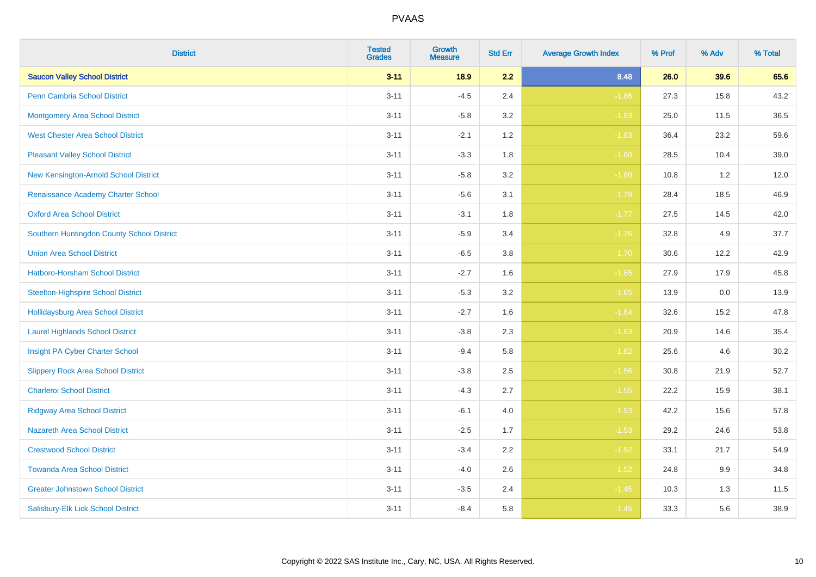| <b>District</b>                            | <b>Tested</b><br><b>Grades</b> | <b>Growth</b><br><b>Measure</b> | <b>Std Err</b> | <b>Average Growth Index</b> | % Prof | % Adv   | % Total |
|--------------------------------------------|--------------------------------|---------------------------------|----------------|-----------------------------|--------|---------|---------|
| <b>Saucon Valley School District</b>       | $3 - 11$                       | 18.9                            | 2.2            | 8.48                        | 26.0   | 39.6    | 65.6    |
| <b>Penn Cambria School District</b>        | $3 - 11$                       | $-4.5$                          | 2.4            | $-1.86$                     | 27.3   | 15.8    | 43.2    |
| <b>Montgomery Area School District</b>     | $3 - 11$                       | $-5.8$                          | 3.2            | $-1.83$                     | 25.0   | 11.5    | 36.5    |
| <b>West Chester Area School District</b>   | $3 - 11$                       | $-2.1$                          | 1.2            | $-1.83$                     | 36.4   | 23.2    | 59.6    |
| <b>Pleasant Valley School District</b>     | $3 - 11$                       | $-3.3$                          | 1.8            | $-1.80$                     | 28.5   | 10.4    | 39.0    |
| New Kensington-Arnold School District      | $3 - 11$                       | $-5.8$                          | 3.2            | $-1.80$                     | 10.8   | 1.2     | 12.0    |
| Renaissance Academy Charter School         | $3 - 11$                       | $-5.6$                          | 3.1            | $-1.79$                     | 28.4   | 18.5    | 46.9    |
| <b>Oxford Area School District</b>         | $3 - 11$                       | $-3.1$                          | 1.8            | $-1.77$                     | 27.5   | 14.5    | 42.0    |
| Southern Huntingdon County School District | $3 - 11$                       | $-5.9$                          | 3.4            | $-1.76$                     | 32.8   | 4.9     | 37.7    |
| <b>Union Area School District</b>          | $3 - 11$                       | $-6.5$                          | 3.8            | $-1.70$                     | 30.6   | 12.2    | 42.9    |
| Hatboro-Horsham School District            | $3 - 11$                       | $-2.7$                          | 1.6            | $-1.65$                     | 27.9   | 17.9    | 45.8    |
| <b>Steelton-Highspire School District</b>  | $3 - 11$                       | $-5.3$                          | 3.2            | $-1.65$                     | 13.9   | 0.0     | 13.9    |
| Hollidaysburg Area School District         | $3 - 11$                       | $-2.7$                          | 1.6            | $-1.64$                     | 32.6   | 15.2    | 47.8    |
| <b>Laurel Highlands School District</b>    | $3 - 11$                       | $-3.8$                          | 2.3            | $-1.63$                     | 20.9   | 14.6    | 35.4    |
| Insight PA Cyber Charter School            | $3 - 11$                       | $-9.4$                          | 5.8            | $-1.62$                     | 25.6   | 4.6     | 30.2    |
| <b>Slippery Rock Area School District</b>  | $3 - 11$                       | $-3.8$                          | 2.5            | $-1.56$                     | 30.8   | 21.9    | 52.7    |
| <b>Charleroi School District</b>           | $3 - 11$                       | $-4.3$                          | 2.7            | $-1.55$                     | 22.2   | 15.9    | 38.1    |
| <b>Ridgway Area School District</b>        | $3 - 11$                       | $-6.1$                          | 4.0            | $-1.53$                     | 42.2   | 15.6    | 57.8    |
| <b>Nazareth Area School District</b>       | $3 - 11$                       | $-2.5$                          | 1.7            | $-1.53$                     | 29.2   | 24.6    | 53.8    |
| <b>Crestwood School District</b>           | $3 - 11$                       | $-3.4$                          | 2.2            | $-1.52$                     | 33.1   | 21.7    | 54.9    |
| <b>Towanda Area School District</b>        | $3 - 11$                       | $-4.0$                          | 2.6            | $-1.52$                     | 24.8   | $9.9\,$ | 34.8    |
| <b>Greater Johnstown School District</b>   | $3 - 11$                       | $-3.5$                          | 2.4            | $-1.45$                     | 10.3   | 1.3     | 11.5    |
| Salisbury-Elk Lick School District         | $3 - 11$                       | $-8.4$                          | 5.8            | $-1.45$                     | 33.3   | 5.6     | 38.9    |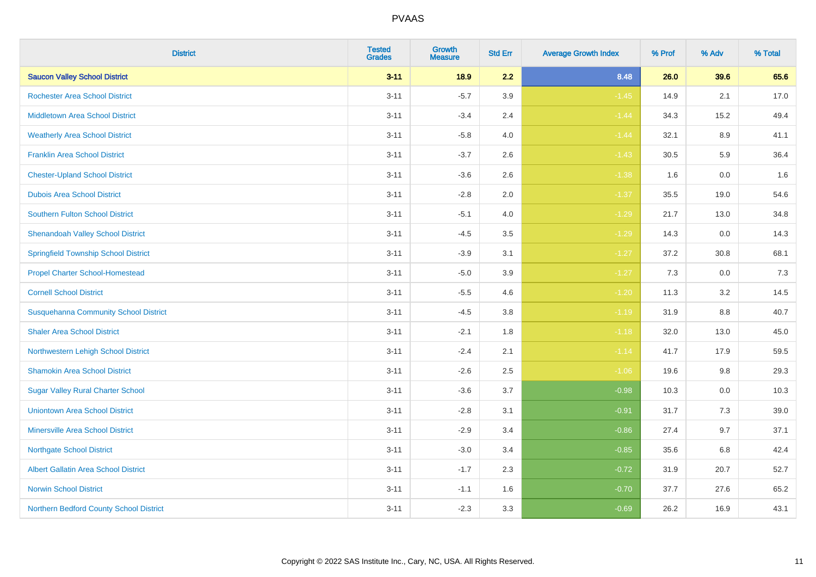| <b>District</b>                              | <b>Tested</b><br><b>Grades</b> | <b>Growth</b><br><b>Measure</b> | <b>Std Err</b> | <b>Average Growth Index</b> | % Prof | % Adv   | % Total |
|----------------------------------------------|--------------------------------|---------------------------------|----------------|-----------------------------|--------|---------|---------|
| <b>Saucon Valley School District</b>         | $3 - 11$                       | 18.9                            | 2.2            | 8.48                        | 26.0   | 39.6    | 65.6    |
| <b>Rochester Area School District</b>        | $3 - 11$                       | $-5.7$                          | 3.9            | $-1.45$                     | 14.9   | 2.1     | 17.0    |
| <b>Middletown Area School District</b>       | $3 - 11$                       | $-3.4$                          | 2.4            | $-1.44$                     | 34.3   | 15.2    | 49.4    |
| <b>Weatherly Area School District</b>        | $3 - 11$                       | $-5.8$                          | 4.0            | $-1.44$                     | 32.1   | $8.9\,$ | 41.1    |
| <b>Franklin Area School District</b>         | $3 - 11$                       | $-3.7$                          | 2.6            | $-1.43$                     | 30.5   | 5.9     | 36.4    |
| <b>Chester-Upland School District</b>        | $3 - 11$                       | $-3.6$                          | 2.6            | $-1.38$                     | 1.6    | 0.0     | 1.6     |
| <b>Dubois Area School District</b>           | $3 - 11$                       | $-2.8$                          | 2.0            | $-1.37$                     | 35.5   | 19.0    | 54.6    |
| <b>Southern Fulton School District</b>       | $3 - 11$                       | $-5.1$                          | 4.0            | $-1.29$                     | 21.7   | 13.0    | 34.8    |
| <b>Shenandoah Valley School District</b>     | $3 - 11$                       | $-4.5$                          | 3.5            | $-1.29$                     | 14.3   | 0.0     | 14.3    |
| <b>Springfield Township School District</b>  | $3 - 11$                       | $-3.9$                          | 3.1            | $-1.27$                     | 37.2   | 30.8    | 68.1    |
| <b>Propel Charter School-Homestead</b>       | $3 - 11$                       | $-5.0$                          | 3.9            | $-1.27$                     | 7.3    | 0.0     | 7.3     |
| <b>Cornell School District</b>               | $3 - 11$                       | $-5.5$                          | 4.6            | $-1.20$                     | 11.3   | 3.2     | 14.5    |
| <b>Susquehanna Community School District</b> | $3 - 11$                       | $-4.5$                          | 3.8            | $-1.19$                     | 31.9   | $8.8\,$ | 40.7    |
| <b>Shaler Area School District</b>           | $3 - 11$                       | $-2.1$                          | 1.8            | $-1.18$                     | 32.0   | 13.0    | 45.0    |
| Northwestern Lehigh School District          | $3 - 11$                       | $-2.4$                          | 2.1            | $-1.14$                     | 41.7   | 17.9    | 59.5    |
| <b>Shamokin Area School District</b>         | $3 - 11$                       | $-2.6$                          | 2.5            | $-1.06$                     | 19.6   | 9.8     | 29.3    |
| <b>Sugar Valley Rural Charter School</b>     | $3 - 11$                       | $-3.6$                          | 3.7            | $-0.98$                     | 10.3   | 0.0     | 10.3    |
| <b>Uniontown Area School District</b>        | $3 - 11$                       | $-2.8$                          | 3.1            | $-0.91$                     | 31.7   | 7.3     | 39.0    |
| <b>Minersville Area School District</b>      | $3 - 11$                       | $-2.9$                          | 3.4            | $-0.86$                     | 27.4   | 9.7     | 37.1    |
| <b>Northgate School District</b>             | $3 - 11$                       | $-3.0$                          | 3.4            | $-0.85$                     | 35.6   | 6.8     | 42.4    |
| Albert Gallatin Area School District         | $3 - 11$                       | $-1.7$                          | 2.3            | $-0.72$                     | 31.9   | 20.7    | 52.7    |
| <b>Norwin School District</b>                | $3 - 11$                       | $-1.1$                          | 1.6            | $-0.70$                     | 37.7   | 27.6    | 65.2    |
| Northern Bedford County School District      | $3 - 11$                       | $-2.3$                          | 3.3            | $-0.69$                     | 26.2   | 16.9    | 43.1    |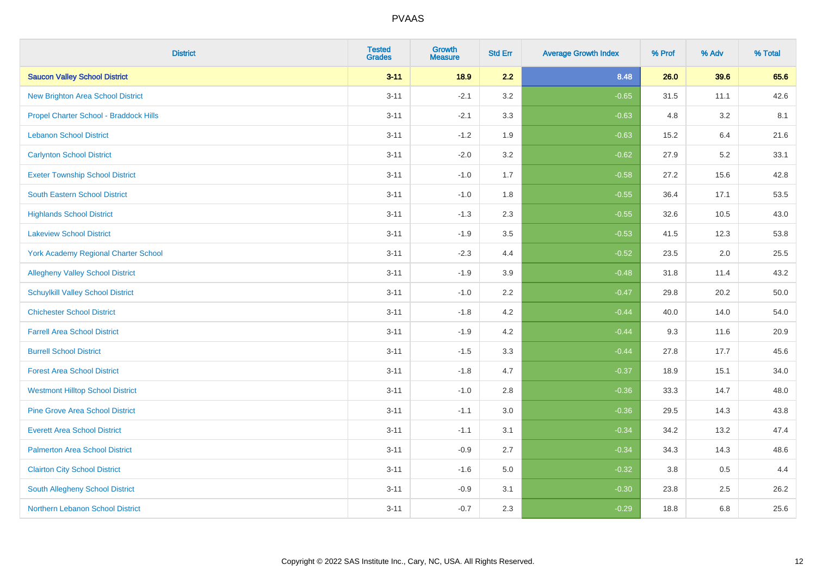| <b>District</b>                          | <b>Tested</b><br><b>Grades</b> | <b>Growth</b><br><b>Measure</b> | <b>Std Err</b> | <b>Average Growth Index</b> | % Prof | % Adv   | % Total |
|------------------------------------------|--------------------------------|---------------------------------|----------------|-----------------------------|--------|---------|---------|
| <b>Saucon Valley School District</b>     | $3 - 11$                       | 18.9                            | 2.2            | 8.48                        | 26.0   | 39.6    | 65.6    |
| <b>New Brighton Area School District</b> | $3 - 11$                       | $-2.1$                          | 3.2            | $-0.65$                     | 31.5   | 11.1    | 42.6    |
| Propel Charter School - Braddock Hills   | $3 - 11$                       | $-2.1$                          | 3.3            | $-0.63$                     | 4.8    | 3.2     | 8.1     |
| <b>Lebanon School District</b>           | $3 - 11$                       | $-1.2$                          | 1.9            | $-0.63$                     | 15.2   | 6.4     | 21.6    |
| <b>Carlynton School District</b>         | $3 - 11$                       | $-2.0$                          | 3.2            | $-0.62$                     | 27.9   | 5.2     | 33.1    |
| <b>Exeter Township School District</b>   | $3 - 11$                       | $-1.0$                          | 1.7            | $-0.58$                     | 27.2   | 15.6    | 42.8    |
| <b>South Eastern School District</b>     | $3 - 11$                       | $-1.0$                          | 1.8            | $-0.55$                     | 36.4   | 17.1    | 53.5    |
| <b>Highlands School District</b>         | $3 - 11$                       | $-1.3$                          | 2.3            | $-0.55$                     | 32.6   | 10.5    | 43.0    |
| <b>Lakeview School District</b>          | $3 - 11$                       | $-1.9$                          | 3.5            | $-0.53$                     | 41.5   | 12.3    | 53.8    |
| York Academy Regional Charter School     | $3 - 11$                       | $-2.3$                          | 4.4            | $-0.52$                     | 23.5   | $2.0\,$ | 25.5    |
| <b>Allegheny Valley School District</b>  | $3 - 11$                       | $-1.9$                          | 3.9            | $-0.48$                     | 31.8   | 11.4    | 43.2    |
| <b>Schuylkill Valley School District</b> | $3 - 11$                       | $-1.0$                          | 2.2            | $-0.47$                     | 29.8   | 20.2    | 50.0    |
| <b>Chichester School District</b>        | $3 - 11$                       | $-1.8$                          | 4.2            | $-0.44$                     | 40.0   | 14.0    | 54.0    |
| <b>Farrell Area School District</b>      | $3 - 11$                       | $-1.9$                          | 4.2            | $-0.44$                     | 9.3    | 11.6    | 20.9    |
| <b>Burrell School District</b>           | $3 - 11$                       | $-1.5$                          | 3.3            | $-0.44$                     | 27.8   | 17.7    | 45.6    |
| <b>Forest Area School District</b>       | $3 - 11$                       | $-1.8$                          | 4.7            | $-0.37$                     | 18.9   | 15.1    | 34.0    |
| <b>Westmont Hilltop School District</b>  | $3 - 11$                       | $-1.0$                          | 2.8            | $-0.36$                     | 33.3   | 14.7    | 48.0    |
| <b>Pine Grove Area School District</b>   | $3 - 11$                       | $-1.1$                          | 3.0            | $-0.36$                     | 29.5   | 14.3    | 43.8    |
| <b>Everett Area School District</b>      | $3 - 11$                       | $-1.1$                          | 3.1            | $-0.34$                     | 34.2   | 13.2    | 47.4    |
| <b>Palmerton Area School District</b>    | $3 - 11$                       | $-0.9$                          | 2.7            | $-0.34$                     | 34.3   | 14.3    | 48.6    |
| <b>Clairton City School District</b>     | $3 - 11$                       | $-1.6$                          | 5.0            | $-0.32$                     | 3.8    | 0.5     | 4.4     |
| South Allegheny School District          | $3 - 11$                       | $-0.9$                          | 3.1            | $-0.30$                     | 23.8   | 2.5     | 26.2    |
| Northern Lebanon School District         | $3 - 11$                       | $-0.7$                          | 2.3            | $-0.29$                     | 18.8   | 6.8     | 25.6    |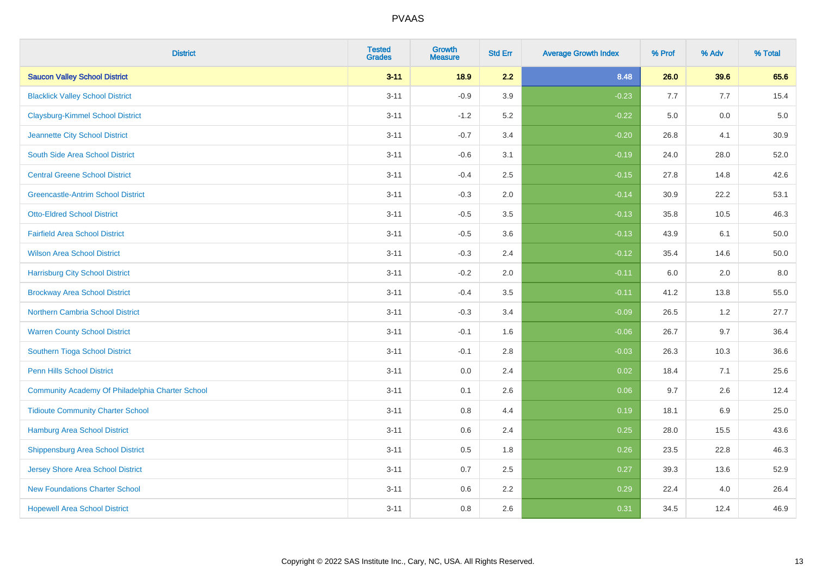| <b>District</b>                                  | <b>Tested</b><br><b>Grades</b> | <b>Growth</b><br><b>Measure</b> | <b>Std Err</b> | <b>Average Growth Index</b> | % Prof | % Adv | % Total |
|--------------------------------------------------|--------------------------------|---------------------------------|----------------|-----------------------------|--------|-------|---------|
| <b>Saucon Valley School District</b>             | $3 - 11$                       | 18.9                            | 2.2            | 8.48                        | 26.0   | 39.6  | 65.6    |
| <b>Blacklick Valley School District</b>          | $3 - 11$                       | $-0.9$                          | 3.9            | $-0.23$                     | 7.7    | 7.7   | 15.4    |
| <b>Claysburg-Kimmel School District</b>          | $3 - 11$                       | $-1.2$                          | 5.2            | $-0.22$                     | 5.0    | 0.0   | $5.0$   |
| Jeannette City School District                   | $3 - 11$                       | $-0.7$                          | 3.4            | $-0.20$                     | 26.8   | 4.1   | 30.9    |
| South Side Area School District                  | $3 - 11$                       | $-0.6$                          | 3.1            | $-0.19$                     | 24.0   | 28.0  | 52.0    |
| <b>Central Greene School District</b>            | $3 - 11$                       | $-0.4$                          | 2.5            | $-0.15$                     | 27.8   | 14.8  | 42.6    |
| <b>Greencastle-Antrim School District</b>        | $3 - 11$                       | $-0.3$                          | 2.0            | $-0.14$                     | 30.9   | 22.2  | 53.1    |
| <b>Otto-Eldred School District</b>               | $3 - 11$                       | $-0.5$                          | 3.5            | $-0.13$                     | 35.8   | 10.5  | 46.3    |
| <b>Fairfield Area School District</b>            | $3 - 11$                       | $-0.5$                          | 3.6            | $-0.13$                     | 43.9   | 6.1   | 50.0    |
| <b>Wilson Area School District</b>               | $3 - 11$                       | $-0.3$                          | 2.4            | $-0.12$                     | 35.4   | 14.6  | 50.0    |
| <b>Harrisburg City School District</b>           | $3 - 11$                       | $-0.2$                          | 2.0            | $-0.11$                     | 6.0    | 2.0   | 8.0     |
| <b>Brockway Area School District</b>             | $3 - 11$                       | $-0.4$                          | 3.5            | $-0.11$                     | 41.2   | 13.8  | 55.0    |
| Northern Cambria School District                 | $3 - 11$                       | $-0.3$                          | 3.4            | $-0.09$                     | 26.5   | 1.2   | 27.7    |
| <b>Warren County School District</b>             | $3 - 11$                       | $-0.1$                          | 1.6            | $-0.06$                     | 26.7   | 9.7   | 36.4    |
| Southern Tioga School District                   | $3 - 11$                       | $-0.1$                          | 2.8            | $-0.03$                     | 26.3   | 10.3  | 36.6    |
| Penn Hills School District                       | $3 - 11$                       | 0.0                             | 2.4            | 0.02                        | 18.4   | 7.1   | 25.6    |
| Community Academy Of Philadelphia Charter School | $3 - 11$                       | 0.1                             | 2.6            | 0.06                        | 9.7    | 2.6   | 12.4    |
| <b>Tidioute Community Charter School</b>         | $3 - 11$                       | 0.8                             | 4.4            | 0.19                        | 18.1   | 6.9   | 25.0    |
| Hamburg Area School District                     | $3 - 11$                       | 0.6                             | 2.4            | 0.25                        | 28.0   | 15.5  | 43.6    |
| <b>Shippensburg Area School District</b>         | $3 - 11$                       | 0.5                             | 1.8            | 0.26                        | 23.5   | 22.8  | 46.3    |
| Jersey Shore Area School District                | $3 - 11$                       | 0.7                             | 2.5            | 0.27                        | 39.3   | 13.6  | 52.9    |
| <b>New Foundations Charter School</b>            | $3 - 11$                       | 0.6                             | 2.2            | 0.29                        | 22.4   | 4.0   | 26.4    |
| <b>Hopewell Area School District</b>             | $3 - 11$                       | 0.8                             | 2.6            | 0.31                        | 34.5   | 12.4  | 46.9    |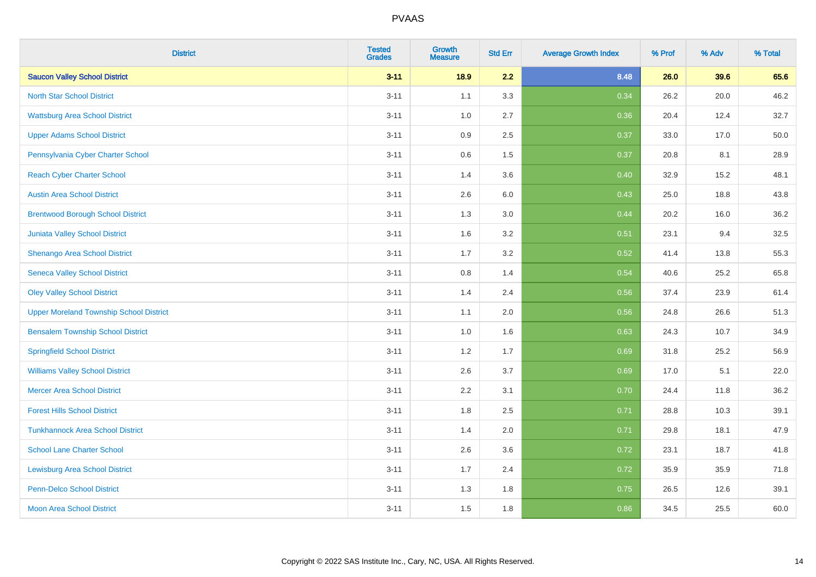| <b>District</b>                                | <b>Tested</b><br><b>Grades</b> | <b>Growth</b><br><b>Measure</b> | <b>Std Err</b> | <b>Average Growth Index</b> | % Prof | % Adv | % Total |
|------------------------------------------------|--------------------------------|---------------------------------|----------------|-----------------------------|--------|-------|---------|
| <b>Saucon Valley School District</b>           | $3 - 11$                       | 18.9                            | 2.2            | 8.48                        | 26.0   | 39.6  | 65.6    |
| <b>North Star School District</b>              | $3 - 11$                       | 1.1                             | 3.3            | 0.34                        | 26.2   | 20.0  | 46.2    |
| <b>Wattsburg Area School District</b>          | $3 - 11$                       | 1.0                             | 2.7            | 0.36                        | 20.4   | 12.4  | 32.7    |
| <b>Upper Adams School District</b>             | $3 - 11$                       | 0.9                             | 2.5            | 0.37                        | 33.0   | 17.0  | 50.0    |
| Pennsylvania Cyber Charter School              | $3 - 11$                       | 0.6                             | 1.5            | 0.37                        | 20.8   | 8.1   | 28.9    |
| <b>Reach Cyber Charter School</b>              | $3 - 11$                       | 1.4                             | 3.6            | 0.40                        | 32.9   | 15.2  | 48.1    |
| <b>Austin Area School District</b>             | $3 - 11$                       | 2.6                             | 6.0            | 0.43                        | 25.0   | 18.8  | 43.8    |
| <b>Brentwood Borough School District</b>       | $3 - 11$                       | 1.3                             | 3.0            | 0.44                        | 20.2   | 16.0  | 36.2    |
| Juniata Valley School District                 | $3 - 11$                       | 1.6                             | 3.2            | 0.51                        | 23.1   | 9.4   | 32.5    |
| Shenango Area School District                  | $3 - 11$                       | 1.7                             | 3.2            | 0.52                        | 41.4   | 13.8  | 55.3    |
| <b>Seneca Valley School District</b>           | $3 - 11$                       | 0.8                             | 1.4            | 0.54                        | 40.6   | 25.2  | 65.8    |
| <b>Oley Valley School District</b>             | $3 - 11$                       | 1.4                             | 2.4            | 0.56                        | 37.4   | 23.9  | 61.4    |
| <b>Upper Moreland Township School District</b> | $3 - 11$                       | 1.1                             | 2.0            | 0.56                        | 24.8   | 26.6  | 51.3    |
| <b>Bensalem Township School District</b>       | $3 - 11$                       | 1.0                             | 1.6            | 0.63                        | 24.3   | 10.7  | 34.9    |
| <b>Springfield School District</b>             | $3 - 11$                       | 1.2                             | 1.7            | 0.69                        | 31.8   | 25.2  | 56.9    |
| <b>Williams Valley School District</b>         | $3 - 11$                       | 2.6                             | 3.7            | 0.69                        | 17.0   | 5.1   | 22.0    |
| <b>Mercer Area School District</b>             | $3 - 11$                       | $2.2\,$                         | 3.1            | 0.70                        | 24.4   | 11.8  | 36.2    |
| <b>Forest Hills School District</b>            | $3 - 11$                       | 1.8                             | 2.5            | 0.71                        | 28.8   | 10.3  | 39.1    |
| <b>Tunkhannock Area School District</b>        | $3 - 11$                       | 1.4                             | 2.0            | 0.71                        | 29.8   | 18.1  | 47.9    |
| <b>School Lane Charter School</b>              | $3 - 11$                       | 2.6                             | 3.6            | 0.72                        | 23.1   | 18.7  | 41.8    |
| <b>Lewisburg Area School District</b>          | $3 - 11$                       | 1.7                             | 2.4            | 0.72                        | 35.9   | 35.9  | 71.8    |
| <b>Penn-Delco School District</b>              | $3 - 11$                       | 1.3                             | 1.8            | 0.75                        | 26.5   | 12.6  | 39.1    |
| <b>Moon Area School District</b>               | $3 - 11$                       | 1.5                             | 1.8            | 0.86                        | 34.5   | 25.5  | 60.0    |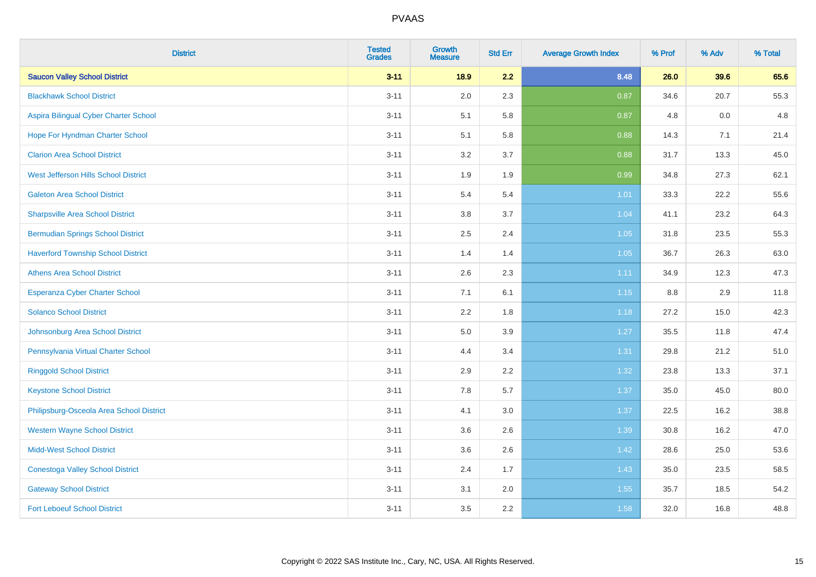| <b>District</b>                           | <b>Tested</b><br><b>Grades</b> | <b>Growth</b><br><b>Measure</b> | <b>Std Err</b> | <b>Average Growth Index</b> | % Prof | % Adv | % Total |
|-------------------------------------------|--------------------------------|---------------------------------|----------------|-----------------------------|--------|-------|---------|
| <b>Saucon Valley School District</b>      | $3 - 11$                       | 18.9                            | 2.2            | 8.48                        | 26.0   | 39.6  | 65.6    |
| <b>Blackhawk School District</b>          | $3 - 11$                       | 2.0                             | 2.3            | 0.87                        | 34.6   | 20.7  | 55.3    |
| Aspira Bilingual Cyber Charter School     | $3 - 11$                       | 5.1                             | 5.8            | 0.87                        | 4.8    | 0.0   | 4.8     |
| Hope For Hyndman Charter School           | $3 - 11$                       | 5.1                             | 5.8            | 0.88                        | 14.3   | 7.1   | 21.4    |
| <b>Clarion Area School District</b>       | $3 - 11$                       | 3.2                             | 3.7            | 0.88                        | 31.7   | 13.3  | 45.0    |
| West Jefferson Hills School District      | $3 - 11$                       | 1.9                             | 1.9            | 0.99                        | 34.8   | 27.3  | 62.1    |
| <b>Galeton Area School District</b>       | $3 - 11$                       | 5.4                             | 5.4            | $1.01$                      | 33.3   | 22.2  | 55.6    |
| <b>Sharpsville Area School District</b>   | $3 - 11$                       | 3.8                             | 3.7            | 1.04                        | 41.1   | 23.2  | 64.3    |
| <b>Bermudian Springs School District</b>  | $3 - 11$                       | 2.5                             | 2.4            | 1.05                        | 31.8   | 23.5  | 55.3    |
| <b>Haverford Township School District</b> | $3 - 11$                       | 1.4                             | 1.4            | 1.05                        | 36.7   | 26.3  | 63.0    |
| <b>Athens Area School District</b>        | $3 - 11$                       | 2.6                             | 2.3            | 1.11                        | 34.9   | 12.3  | 47.3    |
| <b>Esperanza Cyber Charter School</b>     | $3 - 11$                       | 7.1                             | 6.1            | 1.15                        | 8.8    | 2.9   | 11.8    |
| <b>Solanco School District</b>            | $3 - 11$                       | 2.2                             | 1.8            | 1.18                        | 27.2   | 15.0  | 42.3    |
| Johnsonburg Area School District          | $3 - 11$                       | $5.0\,$                         | 3.9            | 1.27                        | 35.5   | 11.8  | 47.4    |
| Pennsylvania Virtual Charter School       | $3 - 11$                       | 4.4                             | 3.4            | 1.31                        | 29.8   | 21.2  | 51.0    |
| <b>Ringgold School District</b>           | $3 - 11$                       | 2.9                             | 2.2            | 1.32                        | 23.8   | 13.3  | 37.1    |
| <b>Keystone School District</b>           | $3 - 11$                       | 7.8                             | 5.7            | 1.37                        | 35.0   | 45.0  | 80.0    |
| Philipsburg-Osceola Area School District  | $3 - 11$                       | 4.1                             | 3.0            | 1.37                        | 22.5   | 16.2  | 38.8    |
| <b>Western Wayne School District</b>      | $3 - 11$                       | 3.6                             | 2.6            | 1.39                        | 30.8   | 16.2  | 47.0    |
| <b>Midd-West School District</b>          | $3 - 11$                       | 3.6                             | 2.6            | 1.42                        | 28.6   | 25.0  | 53.6    |
| <b>Conestoga Valley School District</b>   | $3 - 11$                       | 2.4                             | 1.7            | 1.43                        | 35.0   | 23.5  | 58.5    |
| <b>Gateway School District</b>            | $3 - 11$                       | 3.1                             | 2.0            | 1.55                        | 35.7   | 18.5  | 54.2    |
| <b>Fort Leboeuf School District</b>       | $3 - 11$                       | 3.5                             | 2.2            | 1.58                        | 32.0   | 16.8  | 48.8    |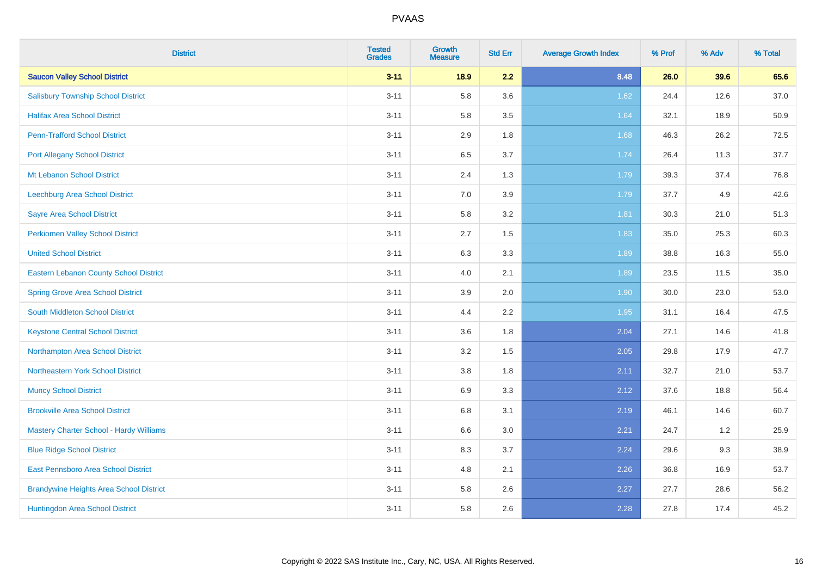| <b>District</b>                                | <b>Tested</b><br><b>Grades</b> | <b>Growth</b><br><b>Measure</b> | <b>Std Err</b> | <b>Average Growth Index</b> | % Prof | % Adv | % Total |
|------------------------------------------------|--------------------------------|---------------------------------|----------------|-----------------------------|--------|-------|---------|
| <b>Saucon Valley School District</b>           | $3 - 11$                       | 18.9                            | 2.2            | 8.48                        | 26.0   | 39.6  | 65.6    |
| <b>Salisbury Township School District</b>      | $3 - 11$                       | 5.8                             | 3.6            | 1.62                        | 24.4   | 12.6  | 37.0    |
| <b>Halifax Area School District</b>            | $3 - 11$                       | 5.8                             | 3.5            | 1.64                        | 32.1   | 18.9  | 50.9    |
| <b>Penn-Trafford School District</b>           | $3 - 11$                       | 2.9                             | 1.8            | 1.68                        | 46.3   | 26.2  | 72.5    |
| <b>Port Allegany School District</b>           | $3 - 11$                       | 6.5                             | 3.7            | 1.74                        | 26.4   | 11.3  | 37.7    |
| Mt Lebanon School District                     | $3 - 11$                       | 2.4                             | 1.3            | 1.79                        | 39.3   | 37.4  | 76.8    |
| Leechburg Area School District                 | $3 - 11$                       | $7.0\,$                         | 3.9            | 1.79                        | 37.7   | 4.9   | 42.6    |
| <b>Sayre Area School District</b>              | $3 - 11$                       | 5.8                             | 3.2            | 1.81                        | 30.3   | 21.0  | 51.3    |
| <b>Perkiomen Valley School District</b>        | $3 - 11$                       | 2.7                             | 1.5            | 1.83                        | 35.0   | 25.3  | 60.3    |
| <b>United School District</b>                  | $3 - 11$                       | $6.3\,$                         | 3.3            | 1.89                        | 38.8   | 16.3  | 55.0    |
| <b>Eastern Lebanon County School District</b>  | $3 - 11$                       | 4.0                             | 2.1            | 1.89                        | 23.5   | 11.5  | 35.0    |
| <b>Spring Grove Area School District</b>       | $3 - 11$                       | 3.9                             | 2.0            | 1.90                        | 30.0   | 23.0  | 53.0    |
| South Middleton School District                | $3 - 11$                       | 4.4                             | 2.2            | 1.95                        | 31.1   | 16.4  | 47.5    |
| <b>Keystone Central School District</b>        | $3 - 11$                       | 3.6                             | 1.8            | 2.04                        | 27.1   | 14.6  | 41.8    |
| Northampton Area School District               | $3 - 11$                       | 3.2                             | 1.5            | 2.05                        | 29.8   | 17.9  | 47.7    |
| Northeastern York School District              | $3 - 11$                       | 3.8                             | 1.8            | 2.11                        | 32.7   | 21.0  | 53.7    |
| <b>Muncy School District</b>                   | $3 - 11$                       | 6.9                             | 3.3            | 2.12                        | 37.6   | 18.8  | 56.4    |
| <b>Brookville Area School District</b>         | $3 - 11$                       | $6.8\,$                         | 3.1            | 2.19                        | 46.1   | 14.6  | 60.7    |
| <b>Mastery Charter School - Hardy Williams</b> | $3 - 11$                       | 6.6                             | 3.0            | 2.21                        | 24.7   | 1.2   | 25.9    |
| <b>Blue Ridge School District</b>              | $3 - 11$                       | 8.3                             | 3.7            | 2.24                        | 29.6   | 9.3   | 38.9    |
| East Pennsboro Area School District            | $3 - 11$                       | 4.8                             | 2.1            | 2.26                        | 36.8   | 16.9  | 53.7    |
| <b>Brandywine Heights Area School District</b> | $3 - 11$                       | 5.8                             | 2.6            | 2.27                        | 27.7   | 28.6  | 56.2    |
| Huntingdon Area School District                | $3 - 11$                       | 5.8                             | 2.6            | 2.28                        | 27.8   | 17.4  | 45.2    |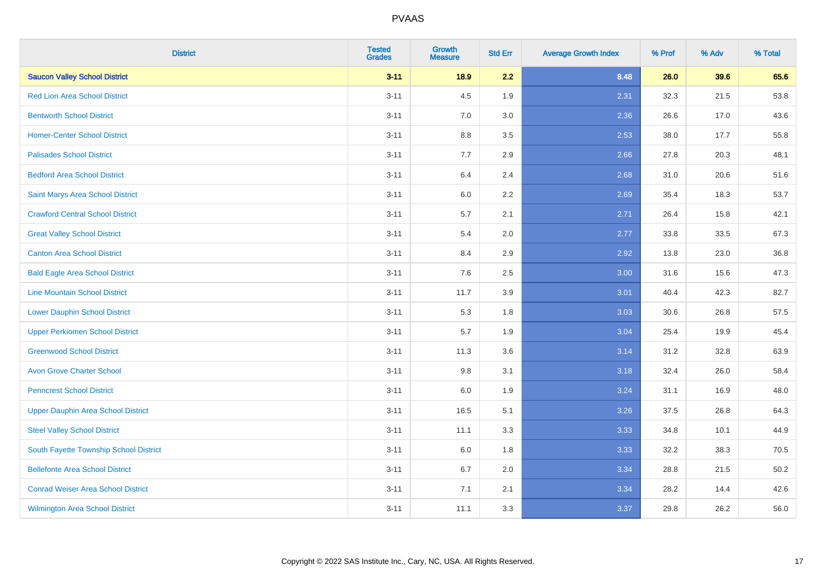| <b>District</b>                           | <b>Tested</b><br><b>Grades</b> | <b>Growth</b><br><b>Measure</b> | <b>Std Err</b> | <b>Average Growth Index</b> | % Prof | % Adv | % Total |
|-------------------------------------------|--------------------------------|---------------------------------|----------------|-----------------------------|--------|-------|---------|
| <b>Saucon Valley School District</b>      | $3 - 11$                       | 18.9                            | 2.2            | 8.48                        | 26.0   | 39.6  | 65.6    |
| <b>Red Lion Area School District</b>      | $3 - 11$                       | 4.5                             | 1.9            | 2.31                        | 32.3   | 21.5  | 53.8    |
| <b>Bentworth School District</b>          | $3 - 11$                       | 7.0                             | 3.0            | 2.36                        | 26.6   | 17.0  | 43.6    |
| <b>Homer-Center School District</b>       | $3 - 11$                       | 8.8                             | 3.5            | 2.53                        | 38.0   | 17.7  | 55.8    |
| <b>Palisades School District</b>          | $3 - 11$                       | 7.7                             | 2.9            | 2.66                        | 27.8   | 20.3  | 48.1    |
| <b>Bedford Area School District</b>       | $3 - 11$                       | 6.4                             | 2.4            | 2.68                        | 31.0   | 20.6  | 51.6    |
| Saint Marys Area School District          | $3 - 11$                       | 6.0                             | 2.2            | 2.69                        | 35.4   | 18.3  | 53.7    |
| <b>Crawford Central School District</b>   | $3 - 11$                       | 5.7                             | 2.1            | 2.71                        | 26.4   | 15.8  | 42.1    |
| <b>Great Valley School District</b>       | $3 - 11$                       | 5.4                             | 2.0            | 2.77                        | 33.8   | 33.5  | 67.3    |
| <b>Canton Area School District</b>        | $3 - 11$                       | 8.4                             | 2.9            | 2.92                        | 13.8   | 23.0  | 36.8    |
| <b>Bald Eagle Area School District</b>    | $3 - 11$                       | 7.6                             | 2.5            | 3.00                        | 31.6   | 15.6  | 47.3    |
| <b>Line Mountain School District</b>      | $3 - 11$                       | 11.7                            | 3.9            | 3.01                        | 40.4   | 42.3  | 82.7    |
| <b>Lower Dauphin School District</b>      | $3 - 11$                       | 5.3                             | 1.8            | 3.03                        | 30.6   | 26.8  | 57.5    |
| <b>Upper Perkiomen School District</b>    | $3 - 11$                       | 5.7                             | 1.9            | 3.04                        | 25.4   | 19.9  | 45.4    |
| <b>Greenwood School District</b>          | $3 - 11$                       | 11.3                            | 3.6            | 3.14                        | 31.2   | 32.8  | 63.9    |
| <b>Avon Grove Charter School</b>          | $3 - 11$                       | 9.8                             | 3.1            | 3.18                        | 32.4   | 26.0  | 58.4    |
| <b>Penncrest School District</b>          | $3 - 11$                       | 6.0                             | 1.9            | 3.24                        | 31.1   | 16.9  | 48.0    |
| <b>Upper Dauphin Area School District</b> | $3 - 11$                       | 16.5                            | 5.1            | 3.26                        | 37.5   | 26.8  | 64.3    |
| <b>Steel Valley School District</b>       | $3 - 11$                       | 11.1                            | 3.3            | 3.33                        | 34.8   | 10.1  | 44.9    |
| South Fayette Township School District    | $3 - 11$                       | 6.0                             | 1.8            | 3.33                        | 32.2   | 38.3  | 70.5    |
| <b>Bellefonte Area School District</b>    | $3 - 11$                       | 6.7                             | 2.0            | 3.34                        | 28.8   | 21.5  | 50.2    |
| <b>Conrad Weiser Area School District</b> | $3 - 11$                       | 7.1                             | 2.1            | 3.34                        | 28.2   | 14.4  | 42.6    |
| <b>Wilmington Area School District</b>    | $3 - 11$                       | 11.1                            | 3.3            | 3.37                        | 29.8   | 26.2  | 56.0    |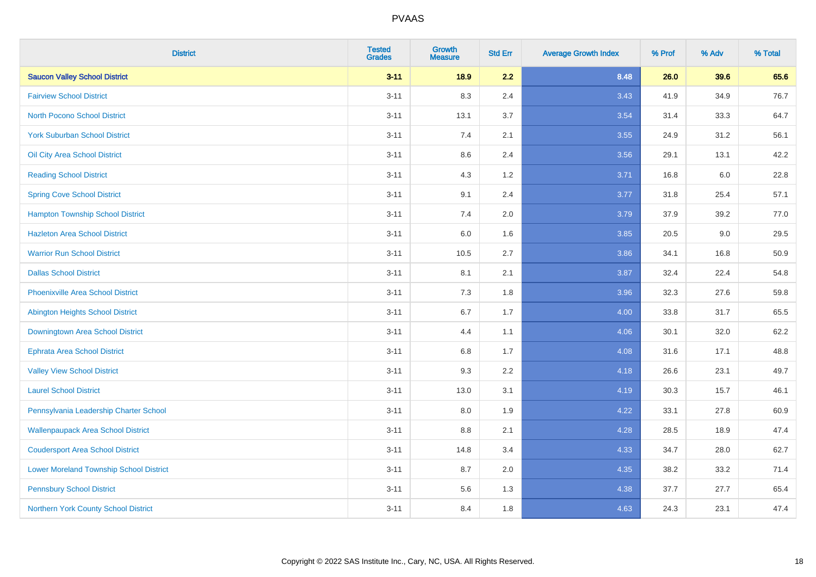| <b>District</b>                                | <b>Tested</b><br><b>Grades</b> | <b>Growth</b><br><b>Measure</b> | <b>Std Err</b> | <b>Average Growth Index</b> | % Prof | % Adv | % Total |
|------------------------------------------------|--------------------------------|---------------------------------|----------------|-----------------------------|--------|-------|---------|
| <b>Saucon Valley School District</b>           | $3 - 11$                       | 18.9                            | 2.2            | 8.48                        | 26.0   | 39.6  | 65.6    |
| <b>Fairview School District</b>                | $3 - 11$                       | 8.3                             | 2.4            | 3.43                        | 41.9   | 34.9  | 76.7    |
| <b>North Pocono School District</b>            | $3 - 11$                       | 13.1                            | 3.7            | 3.54                        | 31.4   | 33.3  | 64.7    |
| <b>York Suburban School District</b>           | $3 - 11$                       | 7.4                             | 2.1            | 3.55                        | 24.9   | 31.2  | 56.1    |
| Oil City Area School District                  | $3 - 11$                       | 8.6                             | 2.4            | 3.56                        | 29.1   | 13.1  | 42.2    |
| <b>Reading School District</b>                 | $3 - 11$                       | 4.3                             | 1.2            | 3.71                        | 16.8   | 6.0   | 22.8    |
| <b>Spring Cove School District</b>             | $3 - 11$                       | 9.1                             | 2.4            | 3.77                        | 31.8   | 25.4  | 57.1    |
| <b>Hampton Township School District</b>        | $3 - 11$                       | 7.4                             | 2.0            | 3.79                        | 37.9   | 39.2  | 77.0    |
| <b>Hazleton Area School District</b>           | $3 - 11$                       | 6.0                             | 1.6            | 3.85                        | 20.5   | 9.0   | 29.5    |
| <b>Warrior Run School District</b>             | $3 - 11$                       | 10.5                            | 2.7            | 3.86                        | 34.1   | 16.8  | 50.9    |
| <b>Dallas School District</b>                  | $3 - 11$                       | 8.1                             | 2.1            | 3.87                        | 32.4   | 22.4  | 54.8    |
| <b>Phoenixville Area School District</b>       | $3 - 11$                       | 7.3                             | 1.8            | 3.96                        | 32.3   | 27.6  | 59.8    |
| <b>Abington Heights School District</b>        | $3 - 11$                       | $6.7\,$                         | 1.7            | 4.00                        | 33.8   | 31.7  | 65.5    |
| Downingtown Area School District               | $3 - 11$                       | 4.4                             | 1.1            | 4.06                        | 30.1   | 32.0  | 62.2    |
| <b>Ephrata Area School District</b>            | $3 - 11$                       | 6.8                             | 1.7            | 4.08                        | 31.6   | 17.1  | 48.8    |
| <b>Valley View School District</b>             | $3 - 11$                       | 9.3                             | 2.2            | 4.18                        | 26.6   | 23.1  | 49.7    |
| <b>Laurel School District</b>                  | $3 - 11$                       | 13.0                            | 3.1            | 4.19                        | 30.3   | 15.7  | 46.1    |
| Pennsylvania Leadership Charter School         | $3 - 11$                       | 8.0                             | 1.9            | 4.22                        | 33.1   | 27.8  | 60.9    |
| <b>Wallenpaupack Area School District</b>      | $3 - 11$                       | $8.8\,$                         | 2.1            | 4.28                        | 28.5   | 18.9  | 47.4    |
| <b>Coudersport Area School District</b>        | $3 - 11$                       | 14.8                            | 3.4            | 4.33                        | 34.7   | 28.0  | 62.7    |
| <b>Lower Moreland Township School District</b> | $3 - 11$                       | 8.7                             | 2.0            | 4.35                        | 38.2   | 33.2  | 71.4    |
| <b>Pennsbury School District</b>               | $3 - 11$                       | 5.6                             | 1.3            | 4.38                        | 37.7   | 27.7  | 65.4    |
| Northern York County School District           | $3 - 11$                       | 8.4                             | 1.8            | 4.63                        | 24.3   | 23.1  | 47.4    |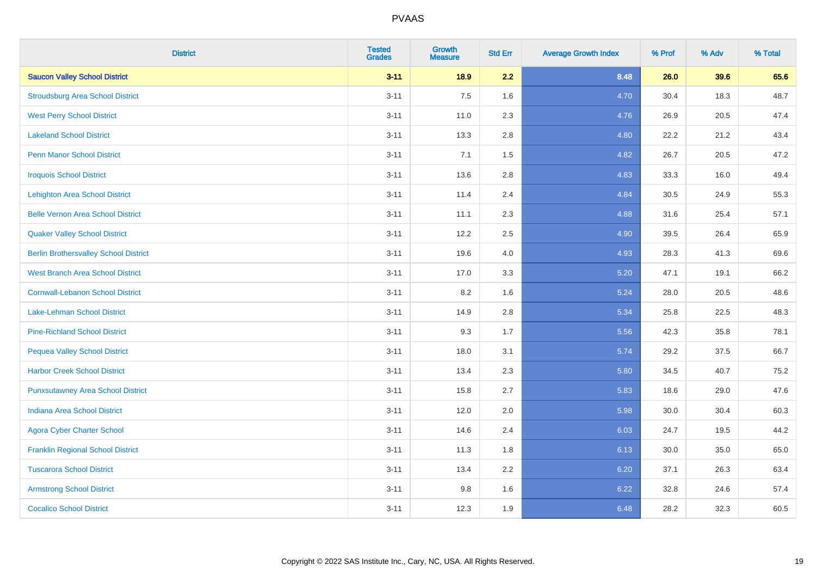| <b>District</b>                              | <b>Tested</b><br><b>Grades</b> | <b>Growth</b><br><b>Measure</b> | <b>Std Err</b> | <b>Average Growth Index</b> | % Prof | % Adv | % Total |
|----------------------------------------------|--------------------------------|---------------------------------|----------------|-----------------------------|--------|-------|---------|
| <b>Saucon Valley School District</b>         | $3 - 11$                       | 18.9                            | 2.2            | 8.48                        | 26.0   | 39.6  | 65.6    |
| <b>Stroudsburg Area School District</b>      | $3 - 11$                       | 7.5                             | 1.6            | 4.70                        | 30.4   | 18.3  | 48.7    |
| <b>West Perry School District</b>            | $3 - 11$                       | 11.0                            | 2.3            | 4.76                        | 26.9   | 20.5  | 47.4    |
| <b>Lakeland School District</b>              | $3 - 11$                       | 13.3                            | 2.8            | 4.80                        | 22.2   | 21.2  | 43.4    |
| <b>Penn Manor School District</b>            | $3 - 11$                       | 7.1                             | 1.5            | 4.82                        | 26.7   | 20.5  | 47.2    |
| <b>Iroquois School District</b>              | $3 - 11$                       | 13.6                            | 2.8            | 4.83                        | 33.3   | 16.0  | 49.4    |
| <b>Lehighton Area School District</b>        | $3 - 11$                       | 11.4                            | 2.4            | 4.84                        | 30.5   | 24.9  | 55.3    |
| <b>Belle Vernon Area School District</b>     | $3 - 11$                       | 11.1                            | 2.3            | 4.88                        | 31.6   | 25.4  | 57.1    |
| <b>Quaker Valley School District</b>         | $3 - 11$                       | 12.2                            | 2.5            | 4.90                        | 39.5   | 26.4  | 65.9    |
| <b>Berlin Brothersvalley School District</b> | $3 - 11$                       | 19.6                            | 4.0            | 4.93                        | 28.3   | 41.3  | 69.6    |
| <b>West Branch Area School District</b>      | $3 - 11$                       | 17.0                            | 3.3            | 5.20                        | 47.1   | 19.1  | 66.2    |
| <b>Cornwall-Lebanon School District</b>      | $3 - 11$                       | 8.2                             | 1.6            | 5.24                        | 28.0   | 20.5  | 48.6    |
| Lake-Lehman School District                  | $3 - 11$                       | 14.9                            | 2.8            | 5.34                        | 25.8   | 22.5  | 48.3    |
| <b>Pine-Richland School District</b>         | $3 - 11$                       | 9.3                             | 1.7            | 5.56                        | 42.3   | 35.8  | 78.1    |
| <b>Pequea Valley School District</b>         | $3 - 11$                       | 18.0                            | 3.1            | 5.74                        | 29.2   | 37.5  | 66.7    |
| <b>Harbor Creek School District</b>          | $3 - 11$                       | 13.4                            | 2.3            | 5.80                        | 34.5   | 40.7  | 75.2    |
| <b>Punxsutawney Area School District</b>     | $3 - 11$                       | 15.8                            | 2.7            | 5.83                        | 18.6   | 29.0  | 47.6    |
| <b>Indiana Area School District</b>          | $3 - 11$                       | 12.0                            | 2.0            | 5.98                        | 30.0   | 30.4  | 60.3    |
| <b>Agora Cyber Charter School</b>            | $3 - 11$                       | 14.6                            | 2.4            | 6.03                        | 24.7   | 19.5  | 44.2    |
| <b>Franklin Regional School District</b>     | $3 - 11$                       | 11.3                            | 1.8            | 6.13                        | 30.0   | 35.0  | 65.0    |
| <b>Tuscarora School District</b>             | $3 - 11$                       | 13.4                            | 2.2            | 6.20                        | 37.1   | 26.3  | 63.4    |
| <b>Armstrong School District</b>             | $3 - 11$                       | 9.8                             | 1.6            | 6.22                        | 32.8   | 24.6  | 57.4    |
| <b>Cocalico School District</b>              | $3 - 11$                       | 12.3                            | 1.9            | 6.48                        | 28.2   | 32.3  | 60.5    |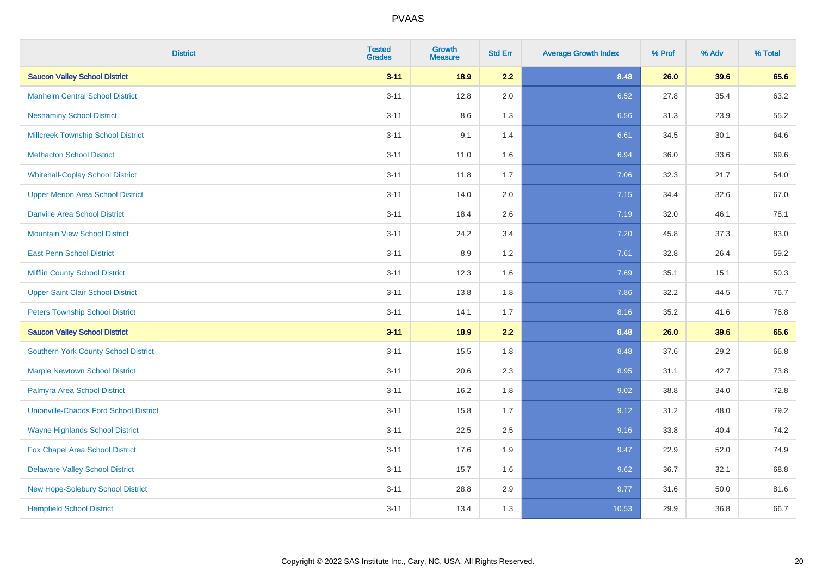| <b>District</b>                               | <b>Tested</b><br><b>Grades</b> | <b>Growth</b><br><b>Measure</b> | <b>Std Err</b> | <b>Average Growth Index</b> | % Prof | % Adv | % Total |
|-----------------------------------------------|--------------------------------|---------------------------------|----------------|-----------------------------|--------|-------|---------|
| <b>Saucon Valley School District</b>          | $3 - 11$                       | 18.9                            | 2.2            | 8.48                        | 26.0   | 39.6  | 65.6    |
| <b>Manheim Central School District</b>        | $3 - 11$                       | 12.8                            | 2.0            | 6.52                        | 27.8   | 35.4  | 63.2    |
| <b>Neshaminy School District</b>              | $3 - 11$                       | 8.6                             | 1.3            | 6.56                        | 31.3   | 23.9  | 55.2    |
| <b>Millcreek Township School District</b>     | $3 - 11$                       | 9.1                             | 1.4            | 6.61                        | 34.5   | 30.1  | 64.6    |
| <b>Methacton School District</b>              | $3 - 11$                       | 11.0                            | 1.6            | 6.94                        | 36.0   | 33.6  | 69.6    |
| <b>Whitehall-Coplay School District</b>       | $3 - 11$                       | 11.8                            | 1.7            | 7.06                        | 32.3   | 21.7  | 54.0    |
| <b>Upper Merion Area School District</b>      | $3 - 11$                       | 14.0                            | 2.0            | 7.15                        | 34.4   | 32.6  | 67.0    |
| <b>Danville Area School District</b>          | $3 - 11$                       | 18.4                            | 2.6            | 7.19                        | 32.0   | 46.1  | 78.1    |
| <b>Mountain View School District</b>          | $3 - 11$                       | 24.2                            | 3.4            | 7.20                        | 45.8   | 37.3  | 83.0    |
| <b>East Penn School District</b>              | $3 - 11$                       | 8.9                             | 1.2            | 7.61                        | 32.8   | 26.4  | 59.2    |
| <b>Mifflin County School District</b>         | $3 - 11$                       | 12.3                            | 1.6            | 7.69                        | 35.1   | 15.1  | 50.3    |
| <b>Upper Saint Clair School District</b>      | $3 - 11$                       | 13.8                            | 1.8            | 7.86                        | 32.2   | 44.5  | 76.7    |
| <b>Peters Township School District</b>        | $3 - 11$                       | 14.1                            | 1.7            | 8.16                        | 35.2   | 41.6  | 76.8    |
| <b>Saucon Valley School District</b>          | $3 - 11$                       | 18.9                            | 2.2            | 8.48                        | 26.0   | 39.6  | 65.6    |
| Southern York County School District          | $3 - 11$                       | 15.5                            | 1.8            | 8.48                        | 37.6   | 29.2  | 66.8    |
| <b>Marple Newtown School District</b>         | $3 - 11$                       | 20.6                            | 2.3            | 8.95                        | 31.1   | 42.7  | 73.8    |
| Palmyra Area School District                  | $3 - 11$                       | 16.2                            | 1.8            | 9.02                        | 38.8   | 34.0  | 72.8    |
| <b>Unionville-Chadds Ford School District</b> | $3 - 11$                       | 15.8                            | 1.7            | 9.12                        | 31.2   | 48.0  | 79.2    |
| <b>Wayne Highlands School District</b>        | $3 - 11$                       | 22.5                            | 2.5            | 9.16                        | 33.8   | 40.4  | 74.2    |
| Fox Chapel Area School District               | $3 - 11$                       | 17.6                            | 1.9            | 9.47                        | 22.9   | 52.0  | 74.9    |
| <b>Delaware Valley School District</b>        | $3 - 11$                       | 15.7                            | 1.6            | 9.62                        | 36.7   | 32.1  | 68.8    |
| New Hope-Solebury School District             | $3 - 11$                       | 28.8                            | 2.9            | 9.77                        | 31.6   | 50.0  | 81.6    |
| <b>Hempfield School District</b>              | $3 - 11$                       | 13.4                            | 1.3            | 10.53                       | 29.9   | 36.8  | 66.7    |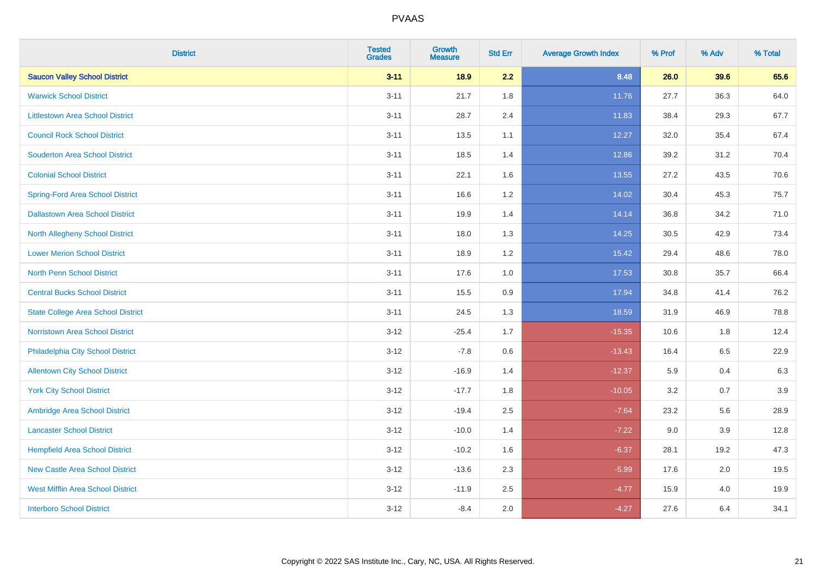| <b>District</b>                           | <b>Tested</b><br><b>Grades</b> | <b>Growth</b><br><b>Measure</b> | <b>Std Err</b> | <b>Average Growth Index</b> | % Prof | % Adv | % Total |
|-------------------------------------------|--------------------------------|---------------------------------|----------------|-----------------------------|--------|-------|---------|
| <b>Saucon Valley School District</b>      | $3 - 11$                       | 18.9                            | 2.2            | 8.48                        | 26.0   | 39.6  | 65.6    |
| <b>Warwick School District</b>            | $3 - 11$                       | 21.7                            | 1.8            | 11.76                       | 27.7   | 36.3  | 64.0    |
| <b>Littlestown Area School District</b>   | $3 - 11$                       | 28.7                            | 2.4            | 11.83                       | 38.4   | 29.3  | 67.7    |
| <b>Council Rock School District</b>       | $3 - 11$                       | 13.5                            | 1.1            | 12.27                       | 32.0   | 35.4  | 67.4    |
| <b>Souderton Area School District</b>     | $3 - 11$                       | 18.5                            | 1.4            | 12.86                       | 39.2   | 31.2  | 70.4    |
| <b>Colonial School District</b>           | $3 - 11$                       | 22.1                            | 1.6            | 13.55                       | 27.2   | 43.5  | 70.6    |
| <b>Spring-Ford Area School District</b>   | $3 - 11$                       | 16.6                            | 1.2            | 14.02                       | 30.4   | 45.3  | 75.7    |
| <b>Dallastown Area School District</b>    | $3 - 11$                       | 19.9                            | 1.4            | 14.14                       | 36.8   | 34.2  | 71.0    |
| <b>North Allegheny School District</b>    | $3 - 11$                       | 18.0                            | 1.3            | 14.25                       | 30.5   | 42.9  | 73.4    |
| <b>Lower Merion School District</b>       | $3 - 11$                       | 18.9                            | 1.2            | 15.42                       | 29.4   | 48.6  | 78.0    |
| <b>North Penn School District</b>         | $3 - 11$                       | 17.6                            | 1.0            | 17.53                       | 30.8   | 35.7  | 66.4    |
| <b>Central Bucks School District</b>      | $3 - 11$                       | 15.5                            | 0.9            | 17.94                       | 34.8   | 41.4  | 76.2    |
| <b>State College Area School District</b> | $3 - 11$                       | 24.5                            | 1.3            | 18.59                       | 31.9   | 46.9  | 78.8    |
| Norristown Area School District           | $3 - 12$                       | $-25.4$                         | 1.7            | $-15.35$                    | 10.6   | 1.8   | 12.4    |
| Philadelphia City School District         | $3 - 12$                       | $-7.8$                          | 0.6            | $-13.43$                    | 16.4   | 6.5   | 22.9    |
| <b>Allentown City School District</b>     | $3 - 12$                       | $-16.9$                         | 1.4            | $-12.37$                    | 5.9    | 0.4   | 6.3     |
| <b>York City School District</b>          | $3 - 12$                       | $-17.7$                         | 1.8            | $-10.05$                    | 3.2    | 0.7   | 3.9     |
| Ambridge Area School District             | $3 - 12$                       | $-19.4$                         | 2.5            | $-7.64$                     | 23.2   | 5.6   | 28.9    |
| <b>Lancaster School District</b>          | $3 - 12$                       | $-10.0$                         | 1.4            | $-7.22$                     | 9.0    | 3.9   | 12.8    |
| <b>Hempfield Area School District</b>     | $3 - 12$                       | $-10.2$                         | 1.6            | $-6.37$                     | 28.1   | 19.2  | 47.3    |
| <b>New Castle Area School District</b>    | $3 - 12$                       | $-13.6$                         | 2.3            | $-5.99$                     | 17.6   | 2.0   | 19.5    |
| <b>West Mifflin Area School District</b>  | $3 - 12$                       | $-11.9$                         | 2.5            | $-4.77$                     | 15.9   | 4.0   | 19.9    |
| <b>Interboro School District</b>          | $3 - 12$                       | $-8.4$                          | 2.0            | $-4.27$                     | 27.6   | 6.4   | 34.1    |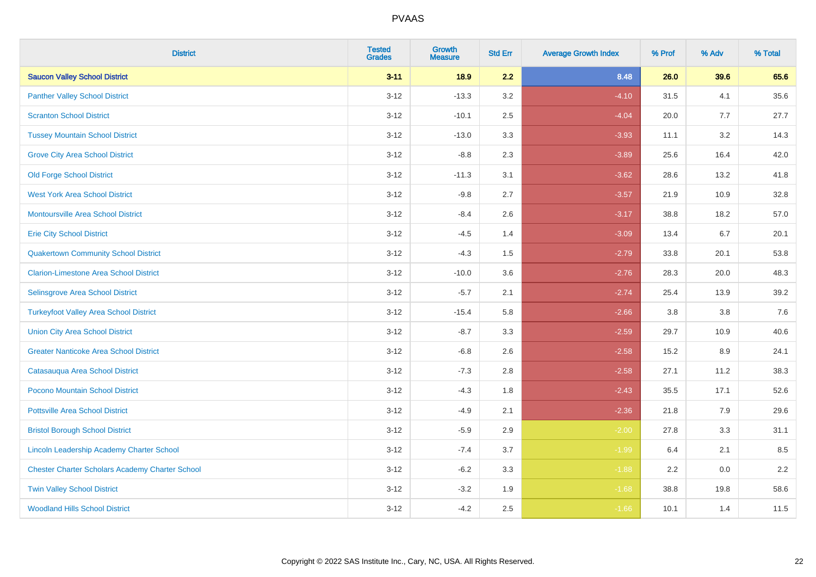| <b>District</b>                                        | <b>Tested</b><br><b>Grades</b> | <b>Growth</b><br><b>Measure</b> | <b>Std Err</b> | <b>Average Growth Index</b> | % Prof | % Adv | % Total |
|--------------------------------------------------------|--------------------------------|---------------------------------|----------------|-----------------------------|--------|-------|---------|
| <b>Saucon Valley School District</b>                   | $3 - 11$                       | 18.9                            | 2.2            | 8.48                        | 26.0   | 39.6  | 65.6    |
| <b>Panther Valley School District</b>                  | $3 - 12$                       | $-13.3$                         | 3.2            | $-4.10$                     | 31.5   | 4.1   | 35.6    |
| <b>Scranton School District</b>                        | $3 - 12$                       | $-10.1$                         | 2.5            | $-4.04$                     | 20.0   | 7.7   | 27.7    |
| <b>Tussey Mountain School District</b>                 | $3 - 12$                       | $-13.0$                         | 3.3            | $-3.93$                     | 11.1   | 3.2   | 14.3    |
| <b>Grove City Area School District</b>                 | $3 - 12$                       | $-8.8$                          | 2.3            | $-3.89$                     | 25.6   | 16.4  | 42.0    |
| <b>Old Forge School District</b>                       | $3 - 12$                       | $-11.3$                         | 3.1            | $-3.62$                     | 28.6   | 13.2  | 41.8    |
| <b>West York Area School District</b>                  | $3 - 12$                       | $-9.8$                          | 2.7            | $-3.57$                     | 21.9   | 10.9  | 32.8    |
| Montoursville Area School District                     | $3 - 12$                       | $-8.4$                          | 2.6            | $-3.17$                     | 38.8   | 18.2  | 57.0    |
| <b>Erie City School District</b>                       | $3 - 12$                       | $-4.5$                          | 1.4            | $-3.09$                     | 13.4   | 6.7   | 20.1    |
| <b>Quakertown Community School District</b>            | $3 - 12$                       | $-4.3$                          | 1.5            | $-2.79$                     | 33.8   | 20.1  | 53.8    |
| <b>Clarion-Limestone Area School District</b>          | $3 - 12$                       | $-10.0$                         | 3.6            | $-2.76$                     | 28.3   | 20.0  | 48.3    |
| Selinsgrove Area School District                       | $3 - 12$                       | $-5.7$                          | 2.1            | $-2.74$                     | 25.4   | 13.9  | 39.2    |
| <b>Turkeyfoot Valley Area School District</b>          | $3 - 12$                       | $-15.4$                         | 5.8            | $-2.66$                     | 3.8    | 3.8   | $7.6$   |
| <b>Union City Area School District</b>                 | $3 - 12$                       | $-8.7$                          | 3.3            | $-2.59$                     | 29.7   | 10.9  | 40.6    |
| <b>Greater Nanticoke Area School District</b>          | $3 - 12$                       | $-6.8$                          | 2.6            | $-2.58$                     | 15.2   | 8.9   | 24.1    |
| Catasauqua Area School District                        | $3 - 12$                       | $-7.3$                          | 2.8            | $-2.58$                     | 27.1   | 11.2  | 38.3    |
| Pocono Mountain School District                        | $3 - 12$                       | $-4.3$                          | 1.8            | $-2.43$                     | 35.5   | 17.1  | 52.6    |
| <b>Pottsville Area School District</b>                 | $3 - 12$                       | $-4.9$                          | 2.1            | $-2.36$                     | 21.8   | 7.9   | 29.6    |
| <b>Bristol Borough School District</b>                 | $3 - 12$                       | $-5.9$                          | 2.9            | $-2.00$                     | 27.8   | 3.3   | 31.1    |
| Lincoln Leadership Academy Charter School              | $3 - 12$                       | $-7.4$                          | 3.7            | $-1.99$                     | 6.4    | 2.1   | 8.5     |
| <b>Chester Charter Scholars Academy Charter School</b> | $3 - 12$                       | $-6.2$                          | 3.3            | $-1.88$                     | 2.2    | 0.0   | 2.2     |
| <b>Twin Valley School District</b>                     | $3 - 12$                       | $-3.2$                          | 1.9            | $-1.68$                     | 38.8   | 19.8  | 58.6    |
| <b>Woodland Hills School District</b>                  | $3 - 12$                       | $-4.2$                          | 2.5            | $-1.66$                     | 10.1   | 1.4   | 11.5    |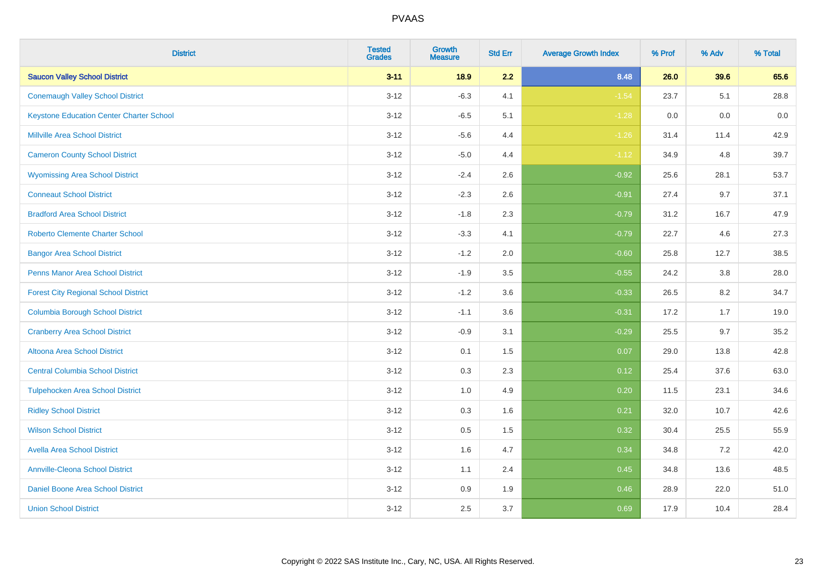| <b>District</b>                                 | <b>Tested</b><br><b>Grades</b> | <b>Growth</b><br><b>Measure</b> | <b>Std Err</b> | <b>Average Growth Index</b> | % Prof | % Adv | % Total |
|-------------------------------------------------|--------------------------------|---------------------------------|----------------|-----------------------------|--------|-------|---------|
| <b>Saucon Valley School District</b>            | $3 - 11$                       | 18.9                            | 2.2            | 8.48                        | 26.0   | 39.6  | 65.6    |
| <b>Conemaugh Valley School District</b>         | $3 - 12$                       | $-6.3$                          | 4.1            | $-1.54$                     | 23.7   | 5.1   | 28.8    |
| <b>Keystone Education Center Charter School</b> | $3 - 12$                       | $-6.5$                          | 5.1            | $-1.28$                     | 0.0    | 0.0   | 0.0     |
| <b>Millville Area School District</b>           | $3 - 12$                       | $-5.6$                          | 4.4            | $-1.26$                     | 31.4   | 11.4  | 42.9    |
| <b>Cameron County School District</b>           | $3-12$                         | $-5.0$                          | 4.4            | $-1.12$                     | 34.9   | 4.8   | 39.7    |
| <b>Wyomissing Area School District</b>          | $3 - 12$                       | $-2.4$                          | 2.6            | $-0.92$                     | 25.6   | 28.1  | 53.7    |
| <b>Conneaut School District</b>                 | $3 - 12$                       | $-2.3$                          | 2.6            | $-0.91$                     | 27.4   | 9.7   | 37.1    |
| <b>Bradford Area School District</b>            | $3 - 12$                       | $-1.8$                          | 2.3            | $-0.79$                     | 31.2   | 16.7  | 47.9    |
| <b>Roberto Clemente Charter School</b>          | $3 - 12$                       | $-3.3$                          | 4.1            | $-0.79$                     | 22.7   | 4.6   | 27.3    |
| <b>Bangor Area School District</b>              | $3 - 12$                       | $-1.2$                          | 2.0            | $-0.60$                     | 25.8   | 12.7  | 38.5    |
| <b>Penns Manor Area School District</b>         | $3 - 12$                       | $-1.9$                          | 3.5            | $-0.55$                     | 24.2   | 3.8   | 28.0    |
| <b>Forest City Regional School District</b>     | $3 - 12$                       | $-1.2$                          | 3.6            | $-0.33$                     | 26.5   | 8.2   | 34.7    |
| <b>Columbia Borough School District</b>         | $3 - 12$                       | $-1.1$                          | 3.6            | $-0.31$                     | 17.2   | 1.7   | 19.0    |
| <b>Cranberry Area School District</b>           | $3 - 12$                       | $-0.9$                          | 3.1            | $-0.29$                     | 25.5   | 9.7   | 35.2    |
| Altoona Area School District                    | $3 - 12$                       | 0.1                             | 1.5            | 0.07                        | 29.0   | 13.8  | 42.8    |
| <b>Central Columbia School District</b>         | $3 - 12$                       | 0.3                             | 2.3            | 0.12                        | 25.4   | 37.6  | 63.0    |
| <b>Tulpehocken Area School District</b>         | $3 - 12$                       | 1.0                             | 4.9            | 0.20                        | 11.5   | 23.1  | 34.6    |
| <b>Ridley School District</b>                   | $3 - 12$                       | 0.3                             | 1.6            | 0.21                        | 32.0   | 10.7  | 42.6    |
| <b>Wilson School District</b>                   | $3 - 12$                       | $0.5\,$                         | 1.5            | 0.32                        | 30.4   | 25.5  | 55.9    |
| <b>Avella Area School District</b>              | $3-12$                         | 1.6                             | 4.7            | 0.34                        | 34.8   | 7.2   | 42.0    |
| <b>Annville-Cleona School District</b>          | $3 - 12$                       | 1.1                             | 2.4            | 0.45                        | 34.8   | 13.6  | 48.5    |
| Daniel Boone Area School District               | $3 - 12$                       | $0.9\,$                         | 1.9            | 0.46                        | 28.9   | 22.0  | 51.0    |
| <b>Union School District</b>                    | $3-12$                         | 2.5                             | 3.7            | 0.69                        | 17.9   | 10.4  | 28.4    |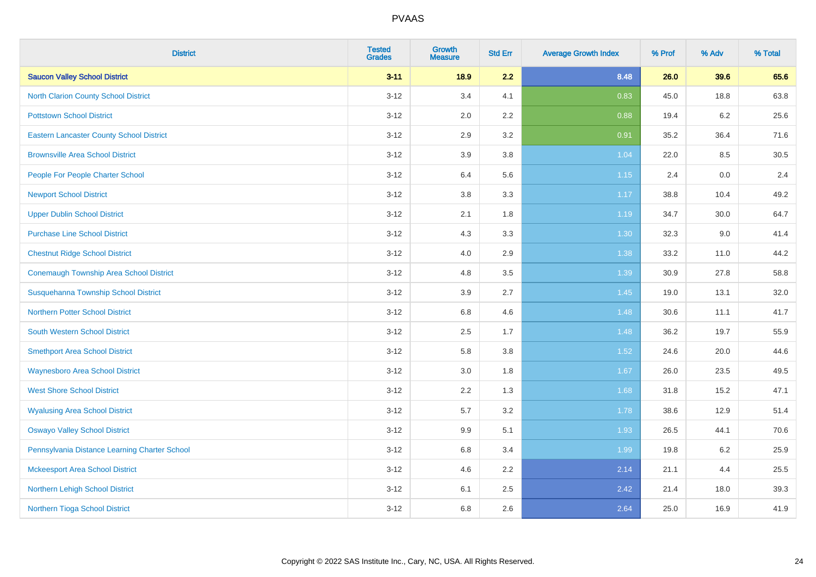| <b>District</b>                                 | <b>Tested</b><br><b>Grades</b> | <b>Growth</b><br><b>Measure</b> | <b>Std Err</b> | <b>Average Growth Index</b> | % Prof | % Adv   | % Total |
|-------------------------------------------------|--------------------------------|---------------------------------|----------------|-----------------------------|--------|---------|---------|
| <b>Saucon Valley School District</b>            | $3 - 11$                       | 18.9                            | 2.2            | 8.48                        | 26.0   | 39.6    | 65.6    |
| <b>North Clarion County School District</b>     | $3 - 12$                       | 3.4                             | 4.1            | 0.83                        | 45.0   | 18.8    | 63.8    |
| <b>Pottstown School District</b>                | $3 - 12$                       | 2.0                             | 2.2            | 0.88                        | 19.4   | $6.2\,$ | 25.6    |
| <b>Eastern Lancaster County School District</b> | $3 - 12$                       | 2.9                             | 3.2            | 0.91                        | 35.2   | 36.4    | 71.6    |
| <b>Brownsville Area School District</b>         | $3 - 12$                       | 3.9                             | 3.8            | 1.04                        | 22.0   | 8.5     | 30.5    |
| People For People Charter School                | $3 - 12$                       | 6.4                             | 5.6            | 1.15                        | 2.4    | 0.0     | 2.4     |
| <b>Newport School District</b>                  | $3-12$                         | $3.8\,$                         | 3.3            | 1.17                        | 38.8   | 10.4    | 49.2    |
| <b>Upper Dublin School District</b>             | $3 - 12$                       | 2.1                             | 1.8            | 1.19                        | 34.7   | 30.0    | 64.7    |
| <b>Purchase Line School District</b>            | $3 - 12$                       | 4.3                             | 3.3            | 1.30                        | 32.3   | 9.0     | 41.4    |
| <b>Chestnut Ridge School District</b>           | $3 - 12$                       | 4.0                             | 2.9            | 1.38                        | 33.2   | 11.0    | 44.2    |
| <b>Conemaugh Township Area School District</b>  | $3 - 12$                       | 4.8                             | 3.5            | 1.39                        | 30.9   | 27.8    | 58.8    |
| Susquehanna Township School District            | $3 - 12$                       | 3.9                             | 2.7            | 1.45                        | 19.0   | 13.1    | 32.0    |
| <b>Northern Potter School District</b>          | $3 - 12$                       | 6.8                             | 4.6            | 1.48                        | 30.6   | 11.1    | 41.7    |
| <b>South Western School District</b>            | $3-12$                         | 2.5                             | 1.7            | 1.48                        | 36.2   | 19.7    | 55.9    |
| <b>Smethport Area School District</b>           | $3 - 12$                       | 5.8                             | 3.8            | 1.52                        | 24.6   | 20.0    | 44.6    |
| <b>Waynesboro Area School District</b>          | $3-12$                         | 3.0                             | 1.8            | 1.67                        | 26.0   | 23.5    | 49.5    |
| <b>West Shore School District</b>               | $3-12$                         | 2.2                             | 1.3            | 1.68                        | 31.8   | 15.2    | 47.1    |
| <b>Wyalusing Area School District</b>           | $3 - 12$                       | 5.7                             | 3.2            | 1.78                        | 38.6   | 12.9    | 51.4    |
| <b>Oswayo Valley School District</b>            | $3 - 12$                       | 9.9                             | 5.1            | 1.93                        | 26.5   | 44.1    | 70.6    |
| Pennsylvania Distance Learning Charter School   | $3-12$                         | 6.8                             | 3.4            | 1.99                        | 19.8   | $6.2\,$ | 25.9    |
| <b>Mckeesport Area School District</b>          | $3-12$                         | 4.6                             | 2.2            | 2.14                        | 21.1   | 4.4     | 25.5    |
| Northern Lehigh School District                 | $3 - 12$                       | 6.1                             | 2.5            | 2.42                        | 21.4   | 18.0    | 39.3    |
| Northern Tioga School District                  | $3-12$                         | 6.8                             | 2.6            | 2.64                        | 25.0   | 16.9    | 41.9    |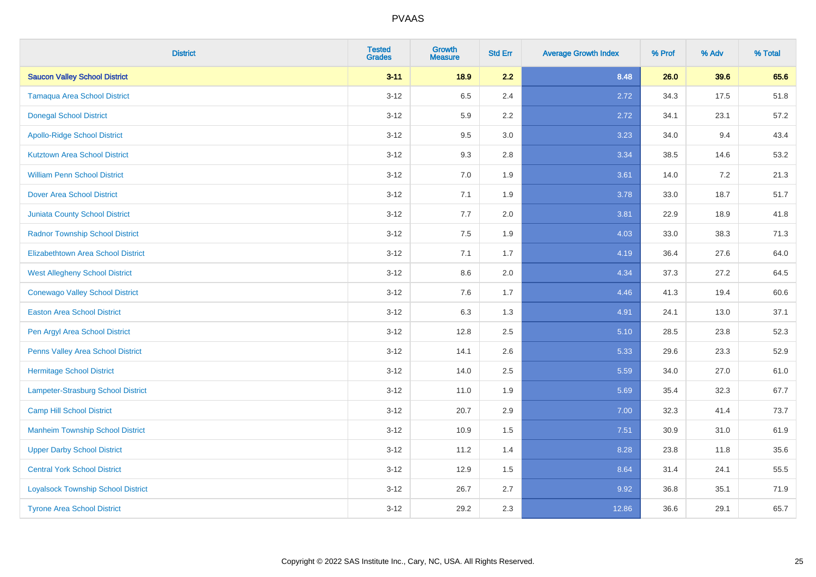| <b>District</b>                           | <b>Tested</b><br><b>Grades</b> | <b>Growth</b><br><b>Measure</b> | <b>Std Err</b> | <b>Average Growth Index</b> | % Prof | % Adv | % Total |
|-------------------------------------------|--------------------------------|---------------------------------|----------------|-----------------------------|--------|-------|---------|
| <b>Saucon Valley School District</b>      | $3 - 11$                       | 18.9                            | 2.2            | 8.48                        | 26.0   | 39.6  | 65.6    |
| <b>Tamaqua Area School District</b>       | $3 - 12$                       | 6.5                             | 2.4            | 2.72                        | 34.3   | 17.5  | 51.8    |
| <b>Donegal School District</b>            | $3 - 12$                       | 5.9                             | 2.2            | 2.72                        | 34.1   | 23.1  | 57.2    |
| <b>Apollo-Ridge School District</b>       | $3 - 12$                       | 9.5                             | 3.0            | 3.23                        | 34.0   | 9.4   | 43.4    |
| <b>Kutztown Area School District</b>      | $3 - 12$                       | 9.3                             | 2.8            | 3.34                        | 38.5   | 14.6  | 53.2    |
| <b>William Penn School District</b>       | $3 - 12$                       | 7.0                             | 1.9            | 3.61                        | 14.0   | 7.2   | 21.3    |
| <b>Dover Area School District</b>         | $3 - 12$                       | 7.1                             | 1.9            | 3.78                        | 33.0   | 18.7  | 51.7    |
| <b>Juniata County School District</b>     | $3 - 12$                       | 7.7                             | 2.0            | 3.81                        | 22.9   | 18.9  | 41.8    |
| <b>Radnor Township School District</b>    | $3 - 12$                       | 7.5                             | 1.9            | 4.03                        | 33.0   | 38.3  | 71.3    |
| <b>Elizabethtown Area School District</b> | $3 - 12$                       | 7.1                             | 1.7            | 4.19                        | 36.4   | 27.6  | 64.0    |
| <b>West Allegheny School District</b>     | $3 - 12$                       | 8.6                             | 2.0            | 4.34                        | 37.3   | 27.2  | 64.5    |
| <b>Conewago Valley School District</b>    | $3 - 12$                       | 7.6                             | 1.7            | 4.46                        | 41.3   | 19.4  | 60.6    |
| <b>Easton Area School District</b>        | $3 - 12$                       | 6.3                             | 1.3            | 4.91                        | 24.1   | 13.0  | 37.1    |
| Pen Argyl Area School District            | $3 - 12$                       | 12.8                            | 2.5            | 5.10                        | 28.5   | 23.8  | 52.3    |
| Penns Valley Area School District         | $3 - 12$                       | 14.1                            | 2.6            | 5.33                        | 29.6   | 23.3  | 52.9    |
| <b>Hermitage School District</b>          | $3 - 12$                       | 14.0                            | 2.5            | 5.59                        | 34.0   | 27.0  | 61.0    |
| Lampeter-Strasburg School District        | $3 - 12$                       | 11.0                            | 1.9            | 5.69                        | 35.4   | 32.3  | 67.7    |
| <b>Camp Hill School District</b>          | $3 - 12$                       | 20.7                            | 2.9            | 7.00                        | 32.3   | 41.4  | 73.7    |
| <b>Manheim Township School District</b>   | $3 - 12$                       | 10.9                            | 1.5            | 7.51                        | 30.9   | 31.0  | 61.9    |
| <b>Upper Darby School District</b>        | $3 - 12$                       | 11.2                            | 1.4            | 8.28                        | 23.8   | 11.8  | 35.6    |
| <b>Central York School District</b>       | $3 - 12$                       | 12.9                            | 1.5            | 8.64                        | 31.4   | 24.1  | 55.5    |
| <b>Loyalsock Township School District</b> | $3 - 12$                       | 26.7                            | 2.7            | 9.92                        | 36.8   | 35.1  | 71.9    |
| <b>Tyrone Area School District</b>        | $3 - 12$                       | 29.2                            | 2.3            | 12.86                       | 36.6   | 29.1  | 65.7    |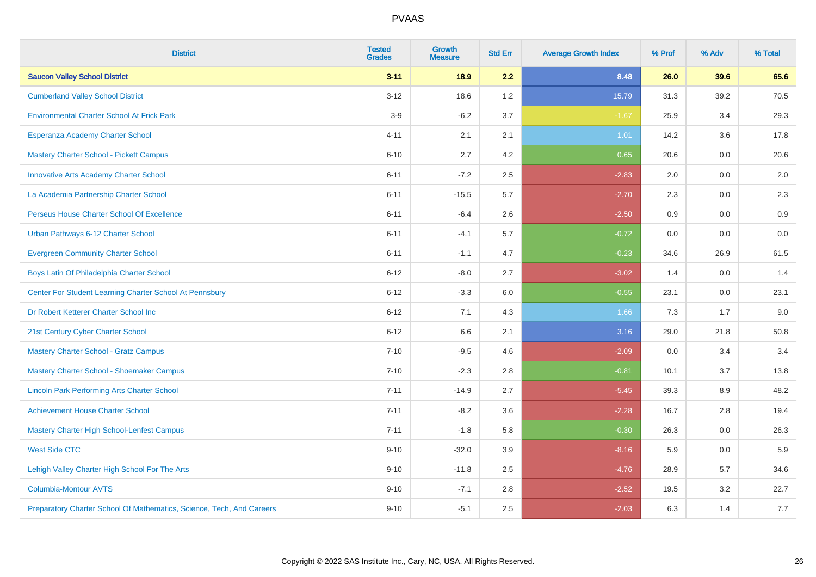| <b>District</b>                                                       | <b>Tested</b><br><b>Grades</b> | <b>Growth</b><br><b>Measure</b> | <b>Std Err</b> | <b>Average Growth Index</b> | % Prof | % Adv | % Total |
|-----------------------------------------------------------------------|--------------------------------|---------------------------------|----------------|-----------------------------|--------|-------|---------|
| <b>Saucon Valley School District</b>                                  | $3 - 11$                       | 18.9                            | 2.2            | 8.48                        | 26.0   | 39.6  | 65.6    |
| <b>Cumberland Valley School District</b>                              | $3 - 12$                       | 18.6                            | 1.2            | 15.79                       | 31.3   | 39.2  | 70.5    |
| <b>Environmental Charter School At Frick Park</b>                     | $3-9$                          | $-6.2$                          | 3.7            | $-1.67$                     | 25.9   | 3.4   | 29.3    |
| Esperanza Academy Charter School                                      | $4 - 11$                       | 2.1                             | 2.1            | 1.01                        | 14.2   | 3.6   | 17.8    |
| <b>Mastery Charter School - Pickett Campus</b>                        | $6 - 10$                       | 2.7                             | 4.2            | 0.65                        | 20.6   | 0.0   | 20.6    |
| <b>Innovative Arts Academy Charter School</b>                         | $6 - 11$                       | $-7.2$                          | 2.5            | $-2.83$                     | 2.0    | 0.0   | 2.0     |
| La Academia Partnership Charter School                                | $6 - 11$                       | $-15.5$                         | 5.7            | $-2.70$                     | 2.3    | 0.0   | $2.3\,$ |
| Perseus House Charter School Of Excellence                            | $6 - 11$                       | $-6.4$                          | 2.6            | $-2.50$                     | 0.9    | 0.0   | 0.9     |
| Urban Pathways 6-12 Charter School                                    | $6 - 11$                       | $-4.1$                          | 5.7            | $-0.72$                     | 0.0    | 0.0   | 0.0     |
| <b>Evergreen Community Charter School</b>                             | $6 - 11$                       | $-1.1$                          | 4.7            | $-0.23$                     | 34.6   | 26.9  | 61.5    |
| Boys Latin Of Philadelphia Charter School                             | $6 - 12$                       | $-8.0$                          | 2.7            | $-3.02$                     | 1.4    | 0.0   | 1.4     |
| Center For Student Learning Charter School At Pennsbury               | $6 - 12$                       | $-3.3$                          | 6.0            | $-0.55$                     | 23.1   | 0.0   | 23.1    |
| Dr Robert Ketterer Charter School Inc                                 | $6 - 12$                       | 7.1                             | 4.3            | 1.66                        | 7.3    | 1.7   | 9.0     |
| 21st Century Cyber Charter School                                     | $6 - 12$                       | 6.6                             | 2.1            | 3.16                        | 29.0   | 21.8  | 50.8    |
| <b>Mastery Charter School - Gratz Campus</b>                          | $7 - 10$                       | $-9.5$                          | 4.6            | $-2.09$                     | 0.0    | 3.4   | 3.4     |
| Mastery Charter School - Shoemaker Campus                             | $7 - 10$                       | $-2.3$                          | 2.8            | $-0.81$                     | 10.1   | 3.7   | 13.8    |
| <b>Lincoln Park Performing Arts Charter School</b>                    | $7 - 11$                       | $-14.9$                         | 2.7            | $-5.45$                     | 39.3   | 8.9   | 48.2    |
| <b>Achievement House Charter School</b>                               | $7 - 11$                       | $-8.2$                          | 3.6            | $-2.28$                     | 16.7   | 2.8   | 19.4    |
| <b>Mastery Charter High School-Lenfest Campus</b>                     | $7 - 11$                       | $-1.8$                          | 5.8            | $-0.30$                     | 26.3   | 0.0   | 26.3    |
| <b>West Side CTC</b>                                                  | $9 - 10$                       | $-32.0$                         | 3.9            | $-8.16$                     | 5.9    | 0.0   | 5.9     |
| Lehigh Valley Charter High School For The Arts                        | $9 - 10$                       | $-11.8$                         | 2.5            | $-4.76$                     | 28.9   | 5.7   | 34.6    |
| <b>Columbia-Montour AVTS</b>                                          | $9 - 10$                       | $-7.1$                          | 2.8            | $-2.52$                     | 19.5   | 3.2   | 22.7    |
| Preparatory Charter School Of Mathematics, Science, Tech, And Careers | $9 - 10$                       | $-5.1$                          | 2.5            | $-2.03$                     | 6.3    | 1.4   | 7.7     |